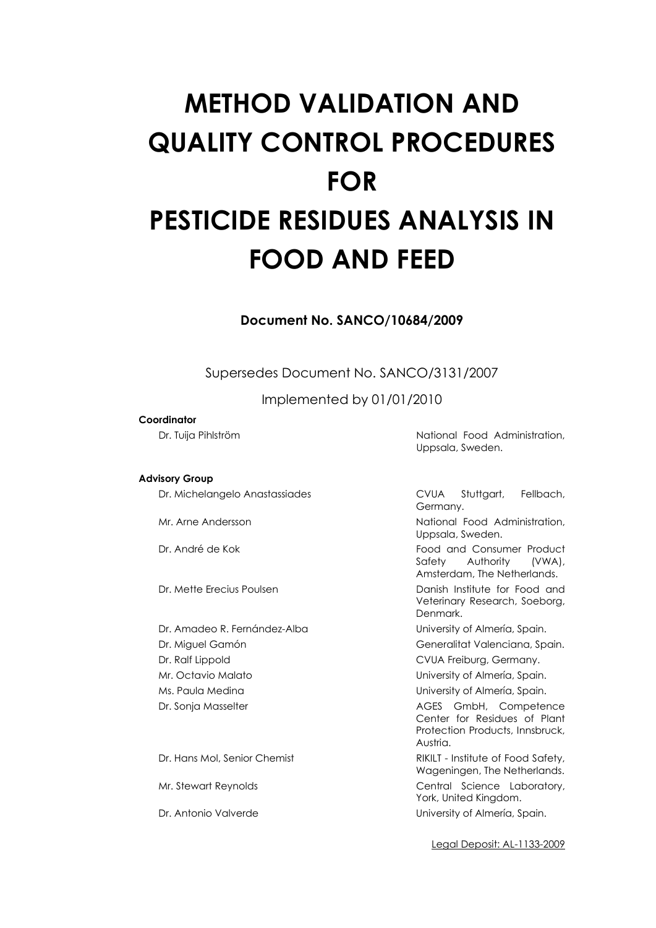# **METHOD VALIDATION AND QUALITY CONTROL PROCEDURES FOR PESTICIDE RESIDUES ANALYSIS IN FOOD AND FEED**

**Document No. SANCO/10684/2009** 

Supersedes Document No. SANCO/3131/2007

Implemented by 01/01/2010

#### **Coordinator**

Dr. Tuija Pihlström National Food Administration, Uppsala, Sweden.

#### **Advisory Group**

Dr. Michelangelo Anastassiades CVUA Stuttgart, Fellbach, Germany. Mr. Arne Andersson **Mr. Arne Andersson** National Food Administration, Uppsala, Sweden. Dr. André de Kok Food and Consumer Product Safety Authority (VWA), Amsterdam, The Netherlands. Dr. Mette Erecius Poulsen **Danish Institute for Food and** Veterinary Research, Soeborg, Denmark. Dr. Amadeo R. Fernández-Alba University of Almería, Spain. Dr. Miguel Gamón Generalitat Valenciana, Spain. Dr. Ralf Lippold CVUA Freiburg, Germany. Mr. Octavio Malato **Mr. Octavio Malato** University of Almería, Spain. Ms. Paula Medina **Mateural Accords** University of Almería, Spain. Dr. Sonja Masselter AGES GmbH, Competence Center for Residues of Plant Protection Products, Innsbruck, Austria. Dr. Hans Mol, Senior Chemist **RIKILT** - Institute of Food Safety, Wageningen, The Netherlands. Mr. Stewart Reynolds Central Science Laboratory, York, United Kingdom. Dr. Antonio Valverde **University of Almería**, Spain.

Legal Deposit: AL-1133-2009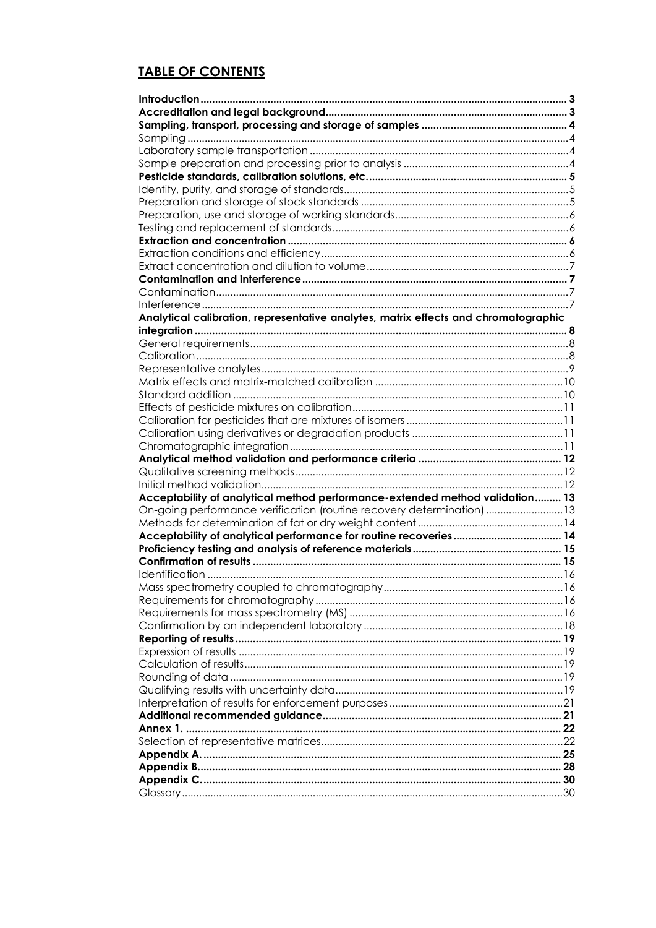# **TABLE OF CONTENTS**

| Analytical calibration, representative analytes, matrix effects and chromatographic |  |
|-------------------------------------------------------------------------------------|--|
|                                                                                     |  |
|                                                                                     |  |
|                                                                                     |  |
|                                                                                     |  |
|                                                                                     |  |
|                                                                                     |  |
|                                                                                     |  |
|                                                                                     |  |
|                                                                                     |  |
|                                                                                     |  |
|                                                                                     |  |
|                                                                                     |  |
|                                                                                     |  |
|                                                                                     |  |
| Acceptability of analytical method performance-extended method validation 13        |  |
| On-going performance verification (routine recovery determination) 13               |  |
|                                                                                     |  |
|                                                                                     |  |
|                                                                                     |  |
|                                                                                     |  |
|                                                                                     |  |
|                                                                                     |  |
|                                                                                     |  |
|                                                                                     |  |
|                                                                                     |  |
|                                                                                     |  |
|                                                                                     |  |
|                                                                                     |  |
|                                                                                     |  |
|                                                                                     |  |
|                                                                                     |  |
|                                                                                     |  |
|                                                                                     |  |
|                                                                                     |  |
|                                                                                     |  |
|                                                                                     |  |
|                                                                                     |  |
|                                                                                     |  |
|                                                                                     |  |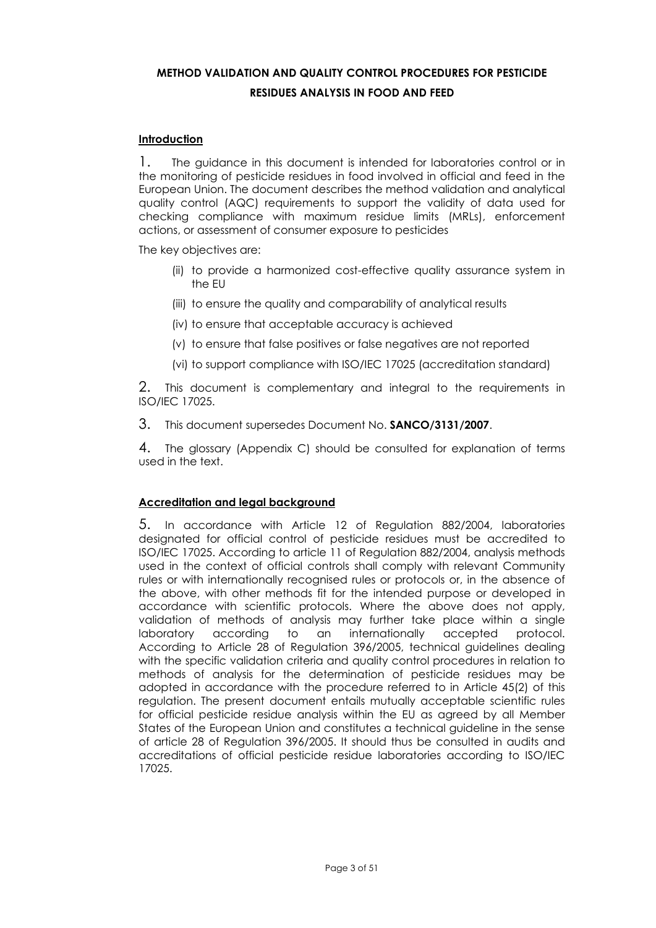# **METHOD VALIDATION AND QUALITY CONTROL PROCEDURES FOR PESTICIDE RESIDUES ANALYSIS IN FOOD AND FEED**

## **Introduction**

1. The guidance in this document is intended for laboratories control or in the monitoring of pesticide residues in food involved in official and feed in the European Union. The document describes the method validation and analytical quality control (AQC) requirements to support the validity of data used for checking compliance with maximum residue limits (MRLs), enforcement actions, or assessment of consumer exposure to pesticides

The key objectives are:

- (ii) to provide a harmonized cost-effective quality assurance system in the EU
- (iii) to ensure the quality and comparability of analytical results
- (iv) to ensure that acceptable accuracy is achieved
- (v) to ensure that false positives or false negatives are not reported
- (vi) to support compliance with ISO/IEC 17025 (accreditation standard)

2. This document is complementary and integral to the requirements in ISO/IEC 17025.

3. This document supersedes Document No. **SANCO/3131/2007**.

4. The glossary (Appendix C) should be consulted for explanation of terms used in the text.

#### **Accreditation and legal background**

5. In accordance with Article 12 of Regulation 882/2004, laboratories designated for official control of pesticide residues must be accredited to ISO/IEC 17025. According to article 11 of Regulation 882/2004, analysis methods used in the context of official controls shall comply with relevant Community rules or with internationally recognised rules or protocols or, in the absence of the above, with other methods fit for the intended purpose or developed in accordance with scientific protocols. Where the above does not apply, validation of methods of analysis may further take place within a single laboratory according to an internationally accepted protocol. According to Article 28 of Regulation 396/2005, technical guidelines dealing with the specific validation criteria and quality control procedures in relation to methods of analysis for the determination of pesticide residues may be adopted in accordance with the procedure referred to in Article 45(2) of this regulation. The present document entails mutually acceptable scientific rules for official pesticide residue analysis within the EU as agreed by all Member States of the European Union and constitutes a technical guideline in the sense of article 28 of Regulation 396/2005. It should thus be consulted in audits and accreditations of official pesticide residue laboratories according to ISO/IEC 17025.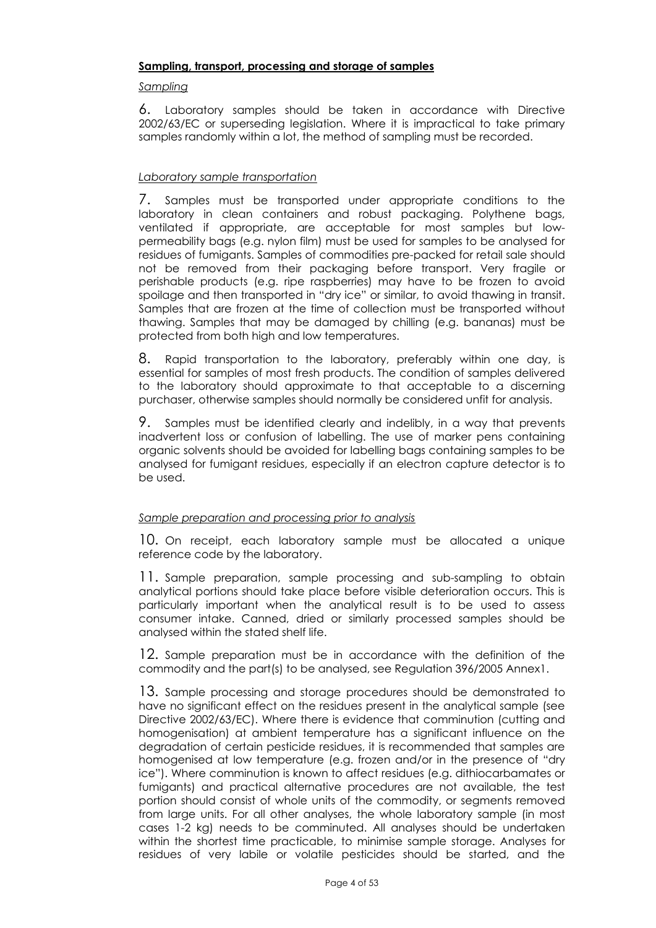#### **Sampling, transport, processing and storage of samples**

#### *Sampling*

6. Laboratory samples should be taken in accordance with Directive 2002/63/EC or superseding legislation. Where it is impractical to take primary samples randomly within a lot, the method of sampling must be recorded.

#### *Laboratory sample transportation*

7. Samples must be transported under appropriate conditions to the laboratory in clean containers and robust packaging. Polythene bags, ventilated if appropriate, are acceptable for most samples but lowpermeability bags (e.g. nylon film) must be used for samples to be analysed for residues of fumigants. Samples of commodities pre-packed for retail sale should not be removed from their packaging before transport. Very fragile or perishable products (e.g. ripe raspberries) may have to be frozen to avoid spoilage and then transported in "dry ice" or similar, to avoid thawing in transit. Samples that are frozen at the time of collection must be transported without thawing. Samples that may be damaged by chilling (e.g. bananas) must be protected from both high and low temperatures.

8. Rapid transportation to the laboratory, preferably within one day, is essential for samples of most fresh products. The condition of samples delivered to the laboratory should approximate to that acceptable to a discerning purchaser, otherwise samples should normally be considered unfit for analysis.

9. Samples must be identified clearly and indelibly, in a way that prevents inadvertent loss or confusion of labelling. The use of marker pens containing organic solvents should be avoided for labelling bags containing samples to be analysed for fumigant residues, especially if an electron capture detector is to be used.

#### *Sample preparation and processing prior to analysis*

10. On receipt, each laboratory sample must be allocated a unique reference code by the laboratory.

11. Sample preparation, sample processing and sub-sampling to obtain analytical portions should take place before visible deterioration occurs. This is particularly important when the analytical result is to be used to assess consumer intake. Canned, dried or similarly processed samples should be analysed within the stated shelf life.

12. Sample preparation must be in accordance with the definition of the commodity and the part(s) to be analysed, see Regulation 396/2005 Annex1.

13. Sample processing and storage procedures should be demonstrated to have no significant effect on the residues present in the analytical sample (see Directive 2002/63/EC). Where there is evidence that comminution (cutting and homogenisation) at ambient temperature has a significant influence on the degradation of certain pesticide residues, it is recommended that samples are homogenised at low temperature (e.g. frozen and/or in the presence of "dry ice"). Where comminution is known to affect residues (e.g. dithiocarbamates or fumigants) and practical alternative procedures are not available, the test portion should consist of whole units of the commodity, or segments removed from large units. For all other analyses, the whole laboratory sample (in most cases 1-2 kg) needs to be comminuted. All analyses should be undertaken within the shortest time practicable, to minimise sample storage. Analyses for residues of very labile or volatile pesticides should be started, and the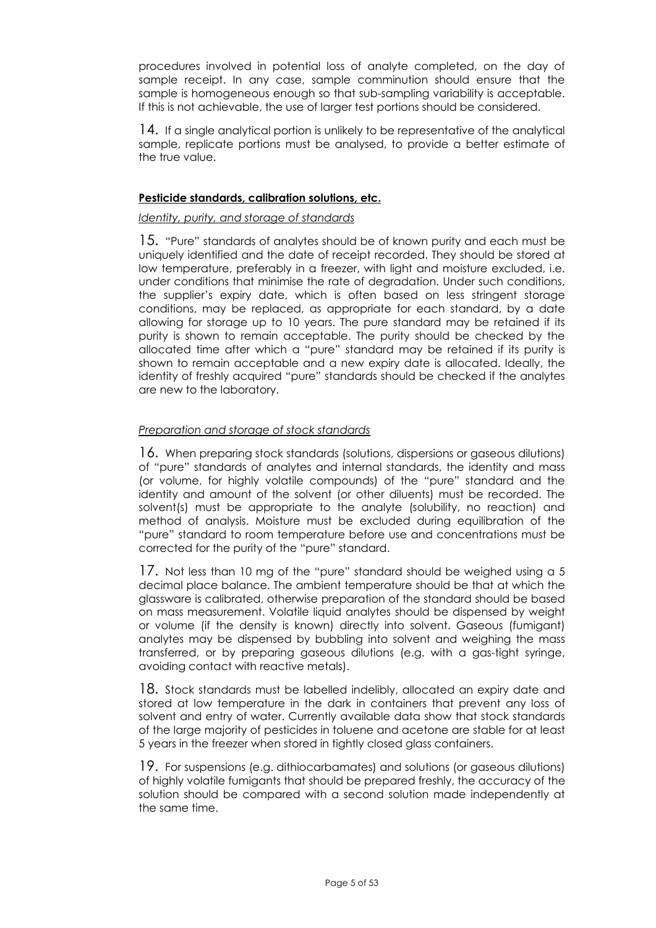procedures involved in potential loss of analyte completed, on the day of sample receipt. In any case, sample comminution should ensure that the sample is homogeneous enough so that sub-sampling variability is acceptable. If this is not achievable, the use of larger test portions should be considered.

14. If a single analytical portion is unlikely to be representative of the analytical sample, replicate portions must be analysed, to provide a better estimate of the true value.

#### **Pesticide standards, calibration solutions, etc.**

#### *Identity, purity, and storage of standards*

15. "Pure" standards of analytes should be of known purity and each must be uniquely identified and the date of receipt recorded. They should be stored at low temperature, preferably in a freezer, with light and moisture excluded, i.e. under conditions that minimise the rate of degradation. Under such conditions, the supplier's expiry date, which is often based on less stringent storage conditions, may be replaced, as appropriate for each standard, by a date allowing for storage up to 10 years. The pure standard may be retained if its purity is shown to remain acceptable. The purity should be checked by the allocated time after which a "pure" standard may be retained if its purity is shown to remain acceptable and a new expiry date is allocated. Ideally, the identity of freshly acquired "pure" standards should be checked if the analytes are new to the laboratory.

#### *Preparation and storage of stock standards*

16. When preparing stock standards (solutions, dispersions or gaseous dilutions) of "pure" standards of analytes and internal standards, the identity and mass (or volume, for highly volatile compounds) of the "pure" standard and the identity and amount of the solvent (or other diluents) must be recorded. The solvent(s) must be appropriate to the analyte (solubility, no reaction) and method of analysis. Moisture must be excluded during equilibration of the "pure" standard to room temperature before use and concentrations must be corrected for the purity of the "pure" standard.

17. Not less than 10 mg of the "pure" standard should be weighed using a 5 decimal place balance. The ambient temperature should be that at which the glassware is calibrated, otherwise preparation of the standard should be based on mass measurement. Volatile liquid analytes should be dispensed by weight or volume (if the density is known) directly into solvent. Gaseous (fumigant) analytes may be dispensed by bubbling into solvent and weighing the mass transferred, or by preparing gaseous dilutions (e.g. with a gas-tight syringe, avoiding contact with reactive metals).

18. Stock standards must be labelled indelibly, allocated an expiry date and stored at low temperature in the dark in containers that prevent any loss of solvent and entry of water. Currently available data show that stock standards of the large majority of pesticides in toluene and acetone are stable for at least 5 years in the freezer when stored in tightly closed glass containers.

19. For suspensions (e.g. dithiocarbamates) and solutions (or gaseous dilutions) of highly volatile fumigants that should be prepared freshly, the accuracy of the solution should be compared with a second solution made independently at the same time.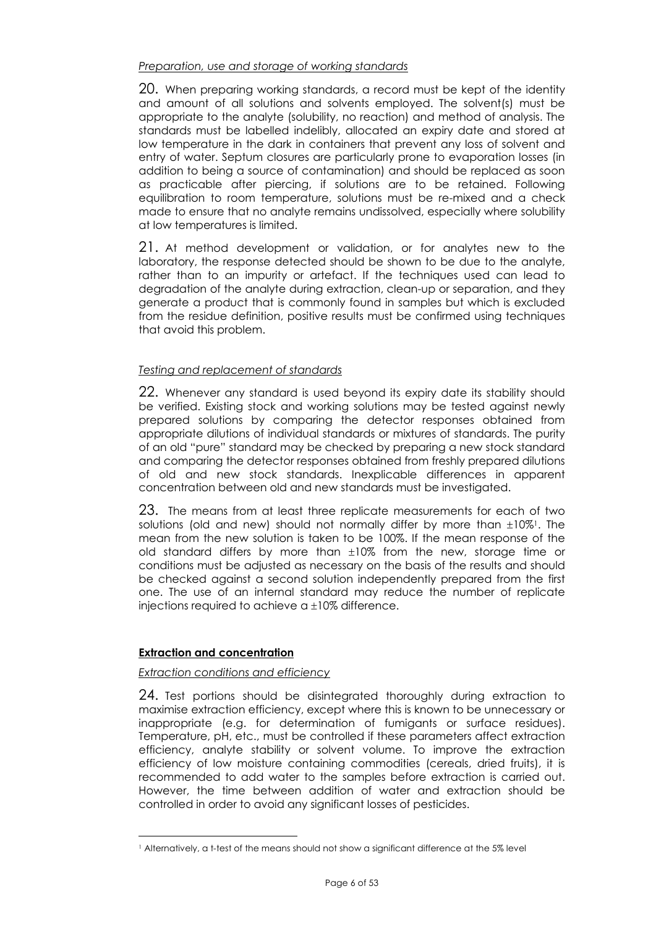#### *Preparation, use and storage of working standards*

20. When preparing working standards, a record must be kept of the identity and amount of all solutions and solvents employed. The solvent(s) must be appropriate to the analyte (solubility, no reaction) and method of analysis. The standards must be labelled indelibly, allocated an expiry date and stored at low temperature in the dark in containers that prevent any loss of solvent and entry of water. Septum closures are particularly prone to evaporation losses (in addition to being a source of contamination) and should be replaced as soon as practicable after piercing, if solutions are to be retained. Following equilibration to room temperature, solutions must be re-mixed and a check made to ensure that no analyte remains undissolved, especially where solubility at low temperatures is limited.

21. At method development or validation, or for analytes new to the laboratory, the response detected should be shown to be due to the analyte, rather than to an impurity or artefact. If the techniques used can lead to degradation of the analyte during extraction, clean-up or separation, and they generate a product that is commonly found in samples but which is excluded from the residue definition, positive results must be confirmed using techniques that avoid this problem.

#### *Testing and replacement of standards*

22. Whenever any standard is used beyond its expiry date its stability should be verified. Existing stock and working solutions may be tested against newly prepared solutions by comparing the detector responses obtained from appropriate dilutions of individual standards or mixtures of standards. The purity of an old "pure" standard may be checked by preparing a new stock standard and comparing the detector responses obtained from freshly prepared dilutions of old and new stock standards. Inexplicable differences in apparent concentration between old and new standards must be investigated.

23. The means from at least three replicate measurements for each of two solutions (old and new) should not normally differ by more than  $\pm 10\%$ <sup>1</sup>. The mean from the new solution is taken to be 100%. If the mean response of the old standard differs by more than ±10% from the new, storage time or conditions must be adjusted as necessary on the basis of the results and should be checked against a second solution independently prepared from the first one. The use of an internal standard may reduce the number of replicate injections required to achieve a  $\pm 10\%$  difference.

#### **Extraction and concentration**

#### *Extraction conditions and efficiency*

24. Test portions should be disintegrated thoroughly during extraction to maximise extraction efficiency, except where this is known to be unnecessary or inappropriate (e.g. for determination of fumigants or surface residues). Temperature, pH, etc., must be controlled if these parameters affect extraction efficiency, analyte stability or solvent volume. To improve the extraction efficiency of low moisture containing commodities (cereals, dried fruits), it is recommended to add water to the samples before extraction is carried out. However, the time between addition of water and extraction should be controlled in order to avoid any significant losses of pesticides.

<sup>&</sup>lt;u>.</u> 1 Alternatively, a t-test of the means should not show a significant difference at the 5% level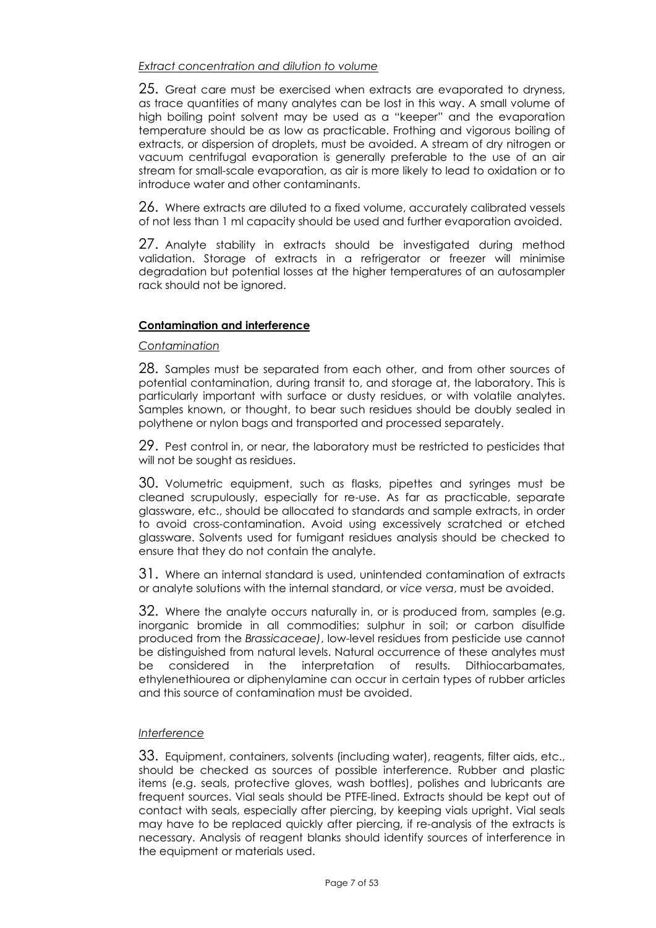#### *Extract concentration and dilution to volume*

25. Great care must be exercised when extracts are evaporated to dryness, as trace quantities of many analytes can be lost in this way. A small volume of high boiling point solvent may be used as a "keeper" and the evaporation temperature should be as low as practicable. Frothing and vigorous boiling of extracts, or dispersion of droplets, must be avoided. A stream of dry nitrogen or vacuum centrifugal evaporation is generally preferable to the use of an air stream for small-scale evaporation, as air is more likely to lead to oxidation or to introduce water and other contaminants.

26. Where extracts are diluted to a fixed volume, accurately calibrated vessels of not less than 1 ml capacity should be used and further evaporation avoided.

27. Analyte stability in extracts should be investigated during method validation. Storage of extracts in a refrigerator or freezer will minimise degradation but potential losses at the higher temperatures of an autosampler rack should not be ignored.

# **Contamination and interference**

#### *Contamination*

28. Samples must be separated from each other, and from other sources of potential contamination, during transit to, and storage at, the laboratory. This is particularly important with surface or dusty residues, or with volatile analytes. Samples known, or thought, to bear such residues should be doubly sealed in polythene or nylon bags and transported and processed separately.

29. Pest control in, or near, the laboratory must be restricted to pesticides that will not be sought as residues.

30. Volumetric equipment, such as flasks, pipettes and syringes must be cleaned scrupulously, especially for re-use. As far as practicable, separate glassware, etc., should be allocated to standards and sample extracts, in order to avoid cross-contamination. Avoid using excessively scratched or etched glassware. Solvents used for fumigant residues analysis should be checked to ensure that they do not contain the analyte.

31. Where an internal standard is used, unintended contamination of extracts or analyte solutions with the internal standard, or *vice versa*, must be avoided.

32. Where the analyte occurs naturally in, or is produced from, samples (e.g. inorganic bromide in all commodities; sulphur in soil; or carbon disulfide produced from the *Brassicaceae)*, low-level residues from pesticide use cannot be distinguished from natural levels. Natural occurrence of these analytes must be considered in the interpretation of results. Dithiocarbamates, ethylenethiourea or diphenylamine can occur in certain types of rubber articles and this source of contamination must be avoided.

#### *Interference*

33. Equipment, containers, solvents (including water), reagents, filter aids, etc., should be checked as sources of possible interference. Rubber and plastic items (e.g. seals, protective gloves, wash bottles), polishes and lubricants are frequent sources. Vial seals should be PTFE-lined. Extracts should be kept out of contact with seals, especially after piercing, by keeping vials upright. Vial seals may have to be replaced quickly after piercing, if re-analysis of the extracts is necessary. Analysis of reagent blanks should identify sources of interference in the equipment or materials used.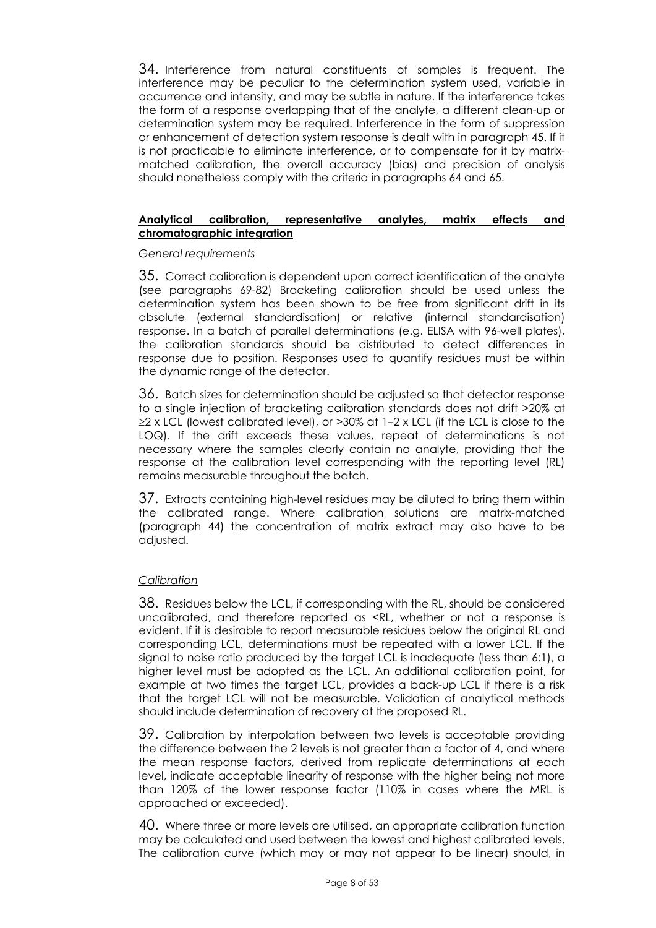34. Interference from natural constituents of samples is frequent. The interference may be peculiar to the determination system used, variable in occurrence and intensity, and may be subtle in nature. If the interference takes the form of a response overlapping that of the analyte, a different clean-up or determination system may be required. Interference in the form of suppression or enhancement of detection system response is dealt with in paragraph 45. If it is not practicable to eliminate interference, or to compensate for it by matrixmatched calibration, the overall accuracy (bias) and precision of analysis should nonetheless comply with the criteria in paragraphs 64 and 65.

#### **Analytical calibration, representative analytes, matrix effects and chromatographic integration**

#### *General requirements*

35. Correct calibration is dependent upon correct identification of the analyte (see paragraphs 69-82) Bracketing calibration should be used unless the determination system has been shown to be free from significant drift in its absolute (external standardisation) or relative (internal standardisation) response. In a batch of parallel determinations (e.g. ELISA with 96-well plates), the calibration standards should be distributed to detect differences in response due to position. Responses used to quantify residues must be within the dynamic range of the detector.

36. Batch sizes for determination should be adjusted so that detector response to a single injection of bracketing calibration standards does not drift >20% at ≥2 x LCL (lowest calibrated level), or >30% at 1–2 x LCL (if the LCL is close to the LOQ). If the drift exceeds these values, repeat of determinations is not necessary where the samples clearly contain no analyte, providing that the response at the calibration level corresponding with the reporting level (RL) remains measurable throughout the batch.

37. Extracts containing high-level residues may be diluted to bring them within the calibrated range. Where calibration solutions are matrix-matched (paragraph 44) the concentration of matrix extract may also have to be adjusted.

#### *Calibration*

38. Residues below the LCL, if corresponding with the RL, should be considered uncalibrated, and therefore reported as <RL, whether or not a response is evident. If it is desirable to report measurable residues below the original RL and corresponding LCL, determinations must be repeated with a lower LCL. If the signal to noise ratio produced by the target LCL is inadequate (less than 6:1), a higher level must be adopted as the LCL. An additional calibration point, for example at two times the target LCL, provides a back-up LCL if there is a risk that the target LCL will not be measurable. Validation of analytical methods should include determination of recovery at the proposed RL.

39. Calibration by interpolation between two levels is acceptable providing the difference between the 2 levels is not greater than a factor of 4, and where the mean response factors, derived from replicate determinations at each level, indicate acceptable linearity of response with the higher being not more than 120% of the lower response factor (110% in cases where the MRL is approached or exceeded).

40. Where three or more levels are utilised, an appropriate calibration function may be calculated and used between the lowest and highest calibrated levels. The calibration curve (which may or may not appear to be linear) should, in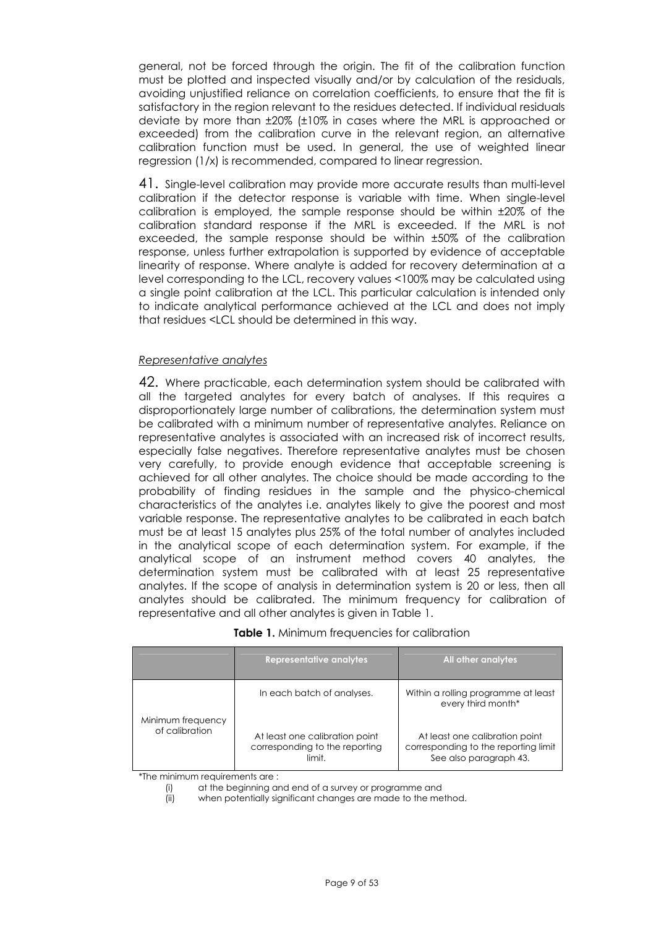general, not be forced through the origin. The fit of the calibration function must be plotted and inspected visually and/or by calculation of the residuals, avoiding unjustified reliance on correlation coefficients, to ensure that the fit is satisfactory in the region relevant to the residues detected. If individual residuals deviate by more than ±20% (±10% in cases where the MRL is approached or exceeded) from the calibration curve in the relevant region, an alternative calibration function must be used. In general, the use of weighted linear regression (1/x) is recommended, compared to linear regression.

41. Single-level calibration may provide more accurate results than multi-level calibration if the detector response is variable with time. When single-level calibration is employed, the sample response should be within ±20% of the calibration standard response if the MRL is exceeded. If the MRL is not exceeded, the sample response should be within ±50% of the calibration response, unless further extrapolation is supported by evidence of acceptable linearity of response. Where analyte is added for recovery determination at a level corresponding to the LCL, recovery values <100% may be calculated using a single point calibration at the LCL. This particular calculation is intended only to indicate analytical performance achieved at the LCL and does not imply that residues <LCL should be determined in this way.

#### *Representative analytes*

42. Where practicable, each determination system should be calibrated with all the targeted analytes for every batch of analyses. If this requires a disproportionately large number of calibrations, the determination system must be calibrated with a minimum number of representative analytes. Reliance on representative analytes is associated with an increased risk of incorrect results, especially false negatives. Therefore representative analytes must be chosen very carefully, to provide enough evidence that acceptable screening is achieved for all other analytes. The choice should be made according to the probability of finding residues in the sample and the physico-chemical characteristics of the analytes i.e. analytes likely to give the poorest and most variable response. The representative analytes to be calibrated in each batch must be at least 15 analytes plus 25% of the total number of analytes included in the analytical scope of each determination system. For example, if the analytical scope of an instrument method covers 40 analytes, the determination system must be calibrated with at least 25 representative analytes. If the scope of analysis in determination system is 20 or less, then all analytes should be calibrated. The minimum frequency for calibration of representative and all other analytes is given in Table 1.

|  | Table 1. Minimum frequencies for calibration |  |
|--|----------------------------------------------|--|
|--|----------------------------------------------|--|

|                                     | Representative analytes                                                    | All other analytes                                                                               |
|-------------------------------------|----------------------------------------------------------------------------|--------------------------------------------------------------------------------------------------|
|                                     | In each batch of analyses.                                                 | Within a rolling programme at least<br>every third month*                                        |
| Minimum frequency<br>of calibration | At least one calibration point<br>corresponding to the reporting<br>limit. | At least one calibration point<br>corresponding to the reporting limit<br>See also paragraph 43. |

\*The minimum requirements are :

(i) at the beginning and end of a survey or programme and

(ii) when potentially significant changes are made to the method.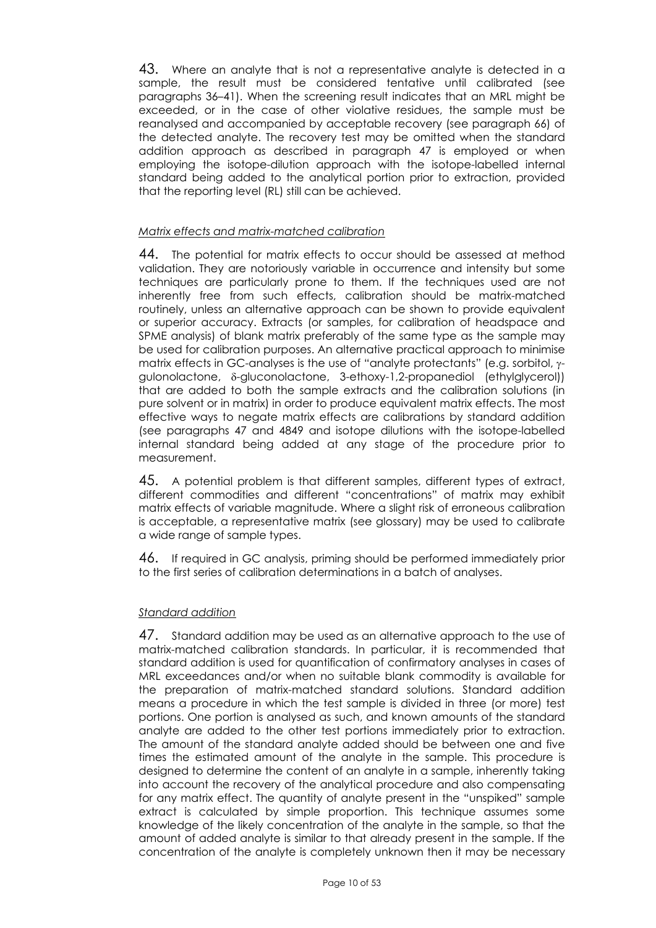43. Where an analyte that is not a representative analyte is detected in a sample, the result must be considered tentative until calibrated (see paragraphs 36–41). When the screening result indicates that an MRL might be exceeded, or in the case of other violative residues, the sample must be reanalysed and accompanied by acceptable recovery (see paragraph 66) of the detected analyte. The recovery test may be omitted when the standard addition approach as described in paragraph 47 is employed or when employing the isotope-dilution approach with the isotope-labelled internal standard being added to the analytical portion prior to extraction, provided that the reporting level (RL) still can be achieved.

#### *Matrix effects and matrix-matched calibration*

44. The potential for matrix effects to occur should be assessed at method validation. They are notoriously variable in occurrence and intensity but some techniques are particularly prone to them. If the techniques used are not inherently free from such effects, calibration should be matrix-matched routinely, unless an alternative approach can be shown to provide equivalent or superior accuracy. Extracts (or samples, for calibration of headspace and SPME analysis) of blank matrix preferably of the same type as the sample may be used for calibration purposes. An alternative practical approach to minimise matrix effects in GC-analyses is the use of "analyte protectants" (e.g. sorbitol, γgulonolactone, δ-gluconolactone, 3-ethoxy-1,2-propanediol (ethylglycerol)) that are added to both the sample extracts and the calibration solutions (in pure solvent or in matrix) in order to produce equivalent matrix effects. The most effective ways to negate matrix effects are calibrations by standard addition (see paragraphs 47 and 4849 and isotope dilutions with the isotope-labelled internal standard being added at any stage of the procedure prior to measurement.

45. A potential problem is that different samples, different types of extract, different commodities and different "concentrations" of matrix may exhibit matrix effects of variable magnitude. Where a slight risk of erroneous calibration is acceptable, a representative matrix (see glossary) may be used to calibrate a wide range of sample types.

46. If required in GC analysis, priming should be performed immediately prior to the first series of calibration determinations in a batch of analyses.

#### *Standard addition*

47. Standard addition may be used as an alternative approach to the use of matrix-matched calibration standards. In particular, it is recommended that standard addition is used for quantification of confirmatory analyses in cases of MRL exceedances and/or when no suitable blank commodity is available for the preparation of matrix-matched standard solutions. Standard addition means a procedure in which the test sample is divided in three (or more) test portions. One portion is analysed as such, and known amounts of the standard analyte are added to the other test portions immediately prior to extraction. The amount of the standard analyte added should be between one and five times the estimated amount of the analyte in the sample. This procedure is designed to determine the content of an analyte in a sample, inherently taking into account the recovery of the analytical procedure and also compensating for any matrix effect. The quantity of analyte present in the "unspiked" sample extract is calculated by simple proportion. This technique assumes some knowledge of the likely concentration of the analyte in the sample, so that the amount of added analyte is similar to that already present in the sample. If the concentration of the analyte is completely unknown then it may be necessary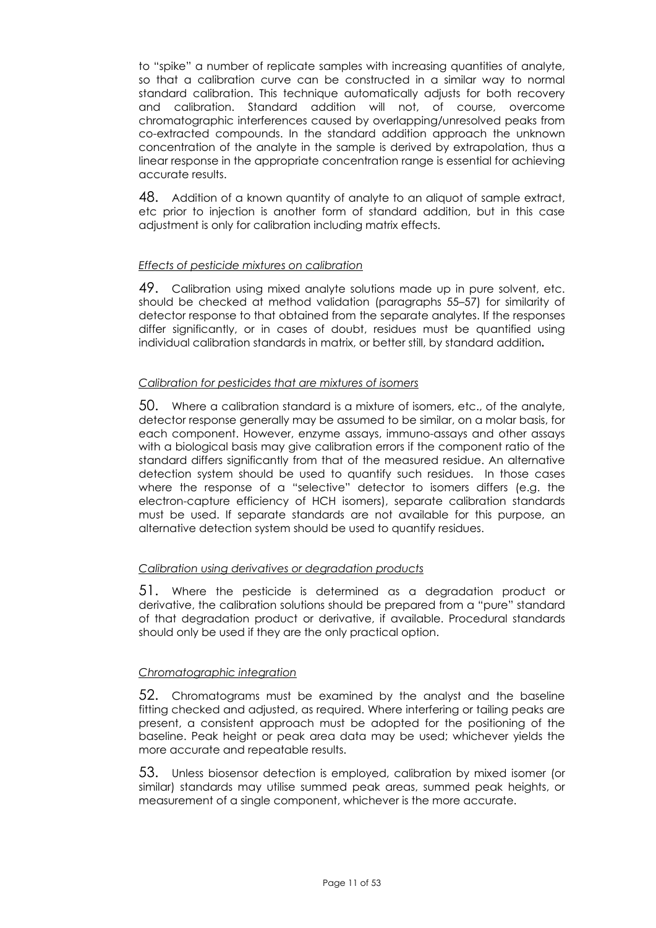to "spike" a number of replicate samples with increasing quantities of analyte, so that a calibration curve can be constructed in a similar way to normal standard calibration. This technique automatically adjusts for both recovery and calibration. Standard addition will not, of course, overcome chromatographic interferences caused by overlapping/unresolved peaks from co-extracted compounds. In the standard addition approach the unknown concentration of the analyte in the sample is derived by extrapolation, thus a linear response in the appropriate concentration range is essential for achieving accurate results.

48. Addition of a known quantity of analyte to an aliquot of sample extract, etc prior to injection is another form of standard addition, but in this case adjustment is only for calibration including matrix effects.

#### *Effects of pesticide mixtures on calibration*

49. Calibration using mixed analyte solutions made up in pure solvent, etc. should be checked at method validation (paragraphs 55–57) for similarity of detector response to that obtained from the separate analytes. If the responses differ significantly, or in cases of doubt, residues must be quantified using individual calibration standards in matrix, or better still, by standard addition**.**

#### *Calibration for pesticides that are mixtures of isomers*

50. Where a calibration standard is a mixture of isomers, etc., of the analyte, detector response generally may be assumed to be similar, on a molar basis, for each component. However, enzyme assays, immuno-assays and other assays with a biological basis may give calibration errors if the component ratio of the standard differs significantly from that of the measured residue. An alternative detection system should be used to quantify such residues. In those cases where the response of a "selective" detector to isomers differs (e.g. the electron-capture efficiency of HCH isomers), separate calibration standards must be used. If separate standards are not available for this purpose, an alternative detection system should be used to quantify residues.

#### *Calibration using derivatives or degradation products*

51. Where the pesticide is determined as a degradation product or derivative, the calibration solutions should be prepared from a "pure" standard of that degradation product or derivative, if available. Procedural standards should only be used if they are the only practical option.

#### *Chromatographic integration*

52. Chromatograms must be examined by the analyst and the baseline fitting checked and adjusted, as required. Where interfering or tailing peaks are present, a consistent approach must be adopted for the positioning of the baseline. Peak height or peak area data may be used; whichever yields the more accurate and repeatable results.

53. Unless biosensor detection is employed, calibration by mixed isomer (or similar) standards may utilise summed peak areas, summed peak heights, or measurement of a single component, whichever is the more accurate.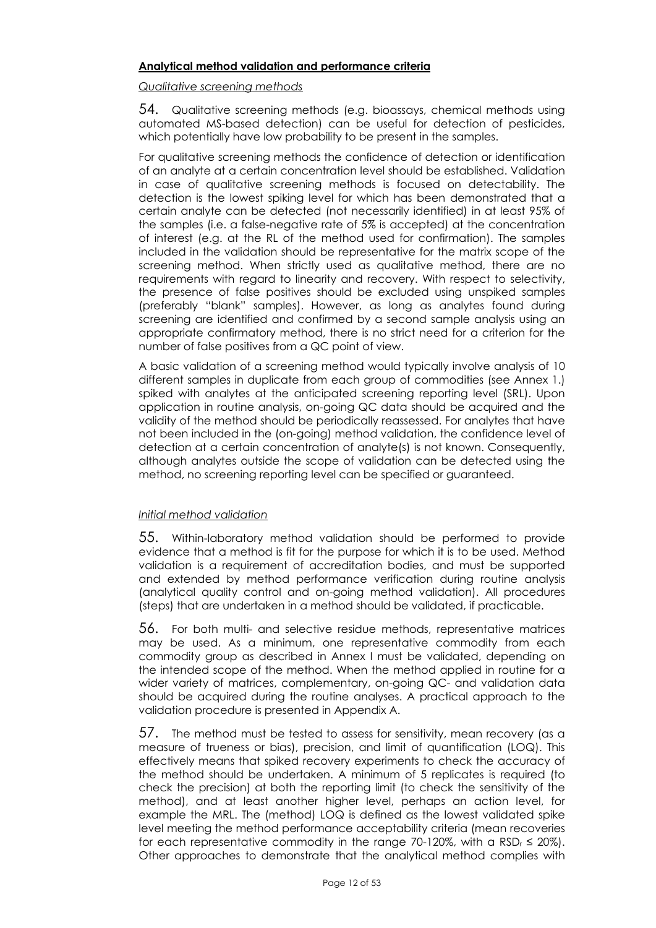## **Analytical method validation and performance criteria**

#### *Qualitative screening methods*

54. Qualitative screening methods (e.g. bioassays, chemical methods using automated MS-based detection) can be useful for detection of pesticides, which potentially have low probability to be present in the samples.

For qualitative screening methods the confidence of detection or identification of an analyte at a certain concentration level should be established. Validation in case of qualitative screening methods is focused on detectability. The detection is the lowest spiking level for which has been demonstrated that a certain analyte can be detected (not necessarily identified) in at least 95% of the samples (i.e. a false-negative rate of 5% is accepted) at the concentration of interest (e.g. at the RL of the method used for confirmation). The samples included in the validation should be representative for the matrix scope of the screening method. When strictly used as qualitative method, there are no requirements with regard to linearity and recovery. With respect to selectivity, the presence of false positives should be excluded using unspiked samples (preferably "blank" samples). However, as long as analytes found during screening are identified and confirmed by a second sample analysis using an appropriate confirmatory method, there is no strict need for a criterion for the number of false positives from a QC point of view.

A basic validation of a screening method would typically involve analysis of 10 different samples in duplicate from each group of commodities (see Annex 1.) spiked with analytes at the anticipated screening reporting level (SRL). Upon application in routine analysis, on-going QC data should be acquired and the validity of the method should be periodically reassessed. For analytes that have not been included in the (on-going) method validation, the confidence level of detection at a certain concentration of analyte(s) is not known. Consequently, although analytes outside the scope of validation can be detected using the method, no screening reporting level can be specified or guaranteed.

#### *Initial method validation*

55. Within-laboratory method validation should be performed to provide evidence that a method is fit for the purpose for which it is to be used. Method validation is a requirement of accreditation bodies, and must be supported and extended by method performance verification during routine analysis (analytical quality control and on-going method validation). All procedures (steps) that are undertaken in a method should be validated, if practicable.

56. For both multi- and selective residue methods, representative matrices may be used. As a minimum, one representative commodity from each commodity group as described in Annex I must be validated, depending on the intended scope of the method. When the method applied in routine for a wider variety of matrices, complementary, on-going QC- and validation data should be acquired during the routine analyses. A practical approach to the validation procedure is presented in Appendix A.

57. The method must be tested to assess for sensitivity, mean recovery (as a measure of trueness or bias), precision, and limit of quantification (LOQ). This effectively means that spiked recovery experiments to check the accuracy of the method should be undertaken. A minimum of 5 replicates is required (to check the precision) at both the reporting limit (to check the sensitivity of the method), and at least another higher level, perhaps an action level, for example the MRL. The (method) LOQ is defined as the lowest validated spike level meeting the method performance acceptability criteria (mean recoveries for each representative commodity in the range 70-120%, with a RSD<sub>r</sub>  $\leq$  20%). Other approaches to demonstrate that the analytical method complies with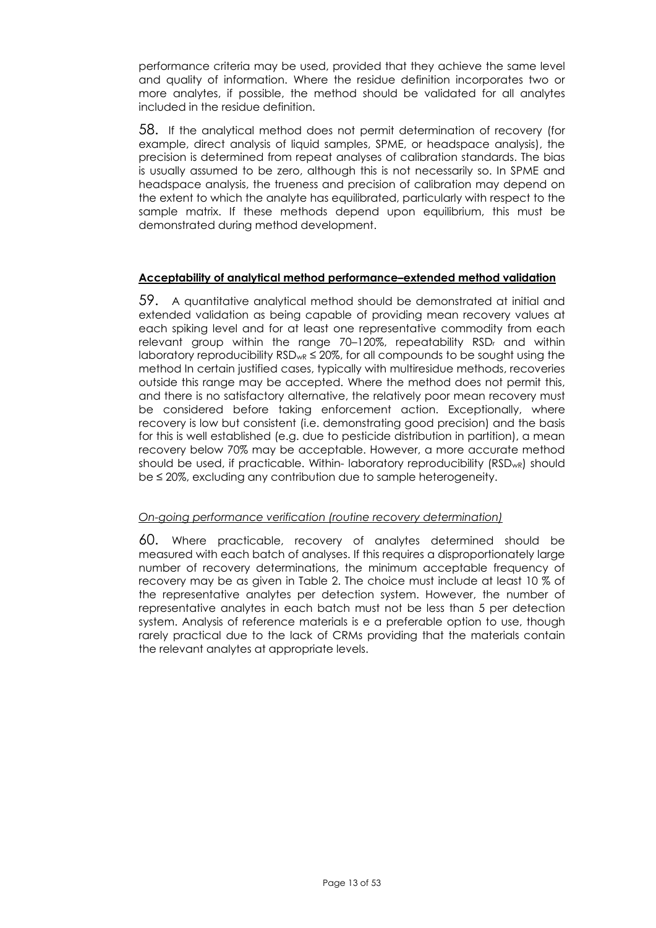performance criteria may be used, provided that they achieve the same level and quality of information. Where the residue definition incorporates two or more analytes, if possible, the method should be validated for all analytes included in the residue definition.

58. If the analytical method does not permit determination of recovery (for example, direct analysis of liquid samples, SPME, or headspace analysis), the precision is determined from repeat analyses of calibration standards. The bias is usually assumed to be zero, although this is not necessarily so. In SPME and headspace analysis, the trueness and precision of calibration may depend on the extent to which the analyte has equilibrated, particularly with respect to the sample matrix. If these methods depend upon equilibrium, this must be demonstrated during method development.

#### **Acceptability of analytical method performance–extended method validation**

59. A quantitative analytical method should be demonstrated at initial and extended validation as being capable of providing mean recovery values at each spiking level and for at least one representative commodity from each relevant group within the range 70–120%, repeatability RSDr and within laboratory reproducibility  $RSD_{wR} \leq 20\%$ , for all compounds to be sought using the method In certain justified cases, typically with multiresidue methods, recoveries outside this range may be accepted. Where the method does not permit this, and there is no satisfactory alternative, the relatively poor mean recovery must be considered before taking enforcement action. Exceptionally, where recovery is low but consistent (i.e. demonstrating good precision) and the basis for this is well established (e.g. due to pesticide distribution in partition), a mean recovery below 70% may be acceptable. However, a more accurate method should be used, if practicable. Within- laboratory reproducibility  $(RSD_{wR})$  should be ≤ 20%, excluding any contribution due to sample heterogeneity.

#### *On-going performance verification (routine recovery determination)*

60. Where practicable, recovery of analytes determined should be measured with each batch of analyses. If this requires a disproportionately large number of recovery determinations, the minimum acceptable frequency of recovery may be as given in Table 2. The choice must include at least 10 % of the representative analytes per detection system. However, the number of representative analytes in each batch must not be less than 5 per detection system. Analysis of reference materials is e a preferable option to use, though rarely practical due to the lack of CRMs providing that the materials contain the relevant analytes at appropriate levels.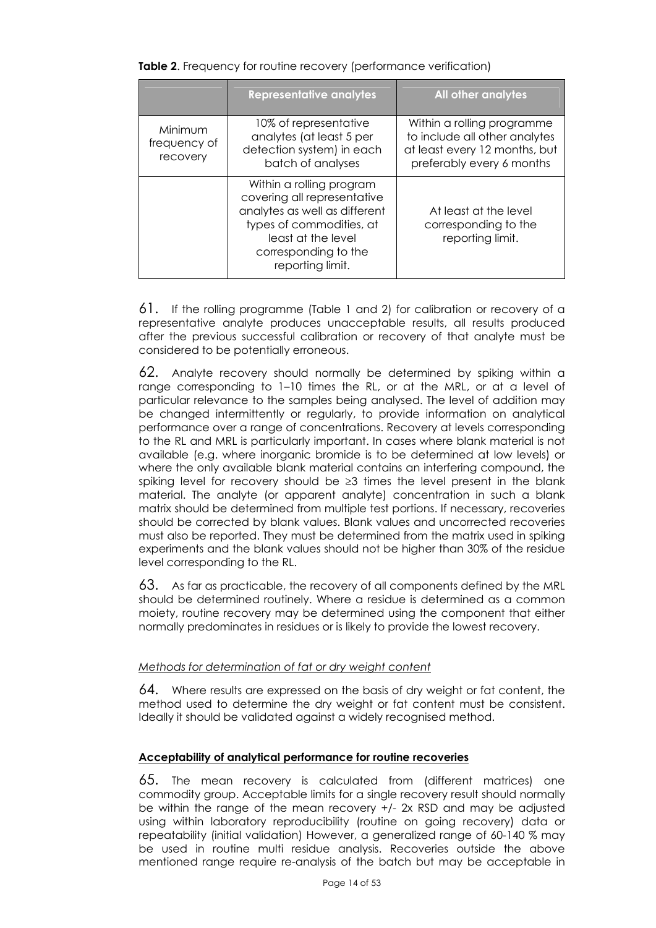|                                     | <b>Representative analytes</b>                                                                                                                                                         | All other analytes                                                                                                        |
|-------------------------------------|----------------------------------------------------------------------------------------------------------------------------------------------------------------------------------------|---------------------------------------------------------------------------------------------------------------------------|
| Minimum<br>frequency of<br>recovery | 10% of representative<br>analytes (at least 5 per<br>detection system) in each<br>batch of analyses                                                                                    | Within a rolling programme<br>to include all other analytes<br>at least every 12 months, but<br>preferably every 6 months |
|                                     | Within a rolling program<br>covering all representative<br>analytes as well as different<br>types of commodities, at<br>least at the level<br>corresponding to the<br>reporting limit. | At least at the level<br>corresponding to the<br>reporting limit.                                                         |

**Table 2.** Frequency for routine recovery (performance verification)

61. If the rolling programme (Table 1 and 2) for calibration or recovery of a representative analyte produces unacceptable results, all results produced after the previous successful calibration or recovery of that analyte must be considered to be potentially erroneous.

62. Analyte recovery should normally be determined by spiking within a range corresponding to 1–10 times the RL, or at the MRL, or at a level of particular relevance to the samples being analysed. The level of addition may be changed intermittently or regularly, to provide information on analytical performance over a range of concentrations. Recovery at levels corresponding to the RL and MRL is particularly important. In cases where blank material is not available (e.g. where inorganic bromide is to be determined at low levels) or where the only available blank material contains an interfering compound, the spiking level for recovery should be ≥3 times the level present in the blank material. The analyte (or apparent analyte) concentration in such a blank matrix should be determined from multiple test portions. If necessary, recoveries should be corrected by blank values. Blank values and uncorrected recoveries must also be reported. They must be determined from the matrix used in spiking experiments and the blank values should not be higher than 30% of the residue level corresponding to the RL.

63. As far as practicable, the recovery of all components defined by the MRL should be determined routinely. Where a residue is determined as a common moiety, routine recovery may be determined using the component that either normally predominates in residues or is likely to provide the lowest recovery.

#### *Methods for determination of fat or dry weight content*

64. Where results are expressed on the basis of dry weight or fat content, the method used to determine the dry weight or fat content must be consistent. Ideally it should be validated against a widely recognised method.

#### **Acceptability of analytical performance for routine recoveries**

65. The mean recovery is calculated from (different matrices) one commodity group. Acceptable limits for a single recovery result should normally be within the range of the mean recovery +/- 2x RSD and may be adjusted using within laboratory reproducibility (routine on going recovery) data or repeatability (initial validation) However, a generalized range of 60-140 % may be used in routine multi residue analysis. Recoveries outside the above mentioned range require re-analysis of the batch but may be acceptable in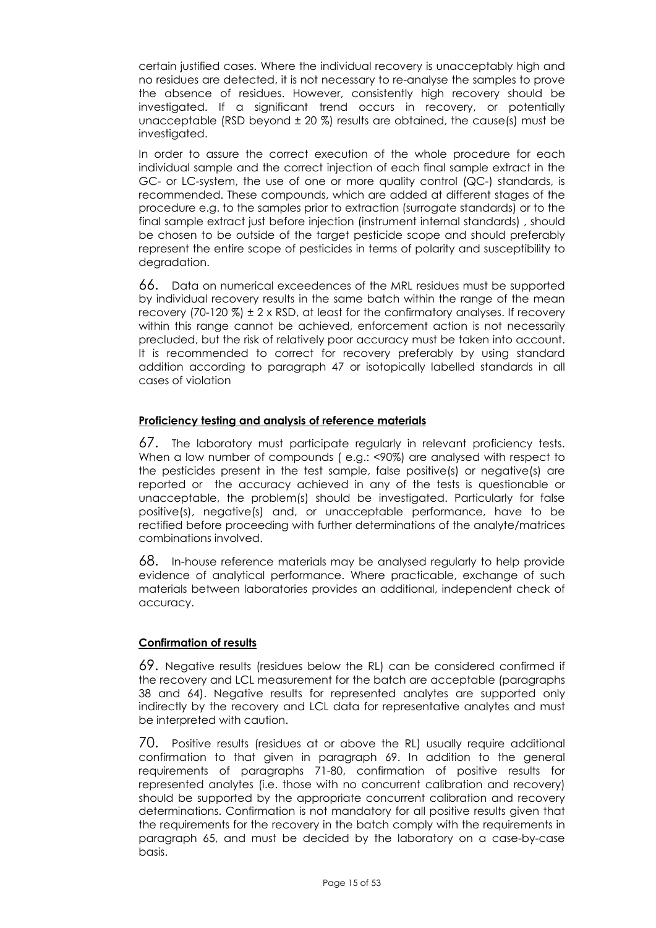certain justified cases. Where the individual recovery is unacceptably high and no residues are detected, it is not necessary to re-analyse the samples to prove the absence of residues. However, consistently high recovery should be investigated. If a significant trend occurs in recovery, or potentially unacceptable (RSD beyond  $\pm$  20 %) results are obtained, the cause(s) must be investigated.

In order to assure the correct execution of the whole procedure for each individual sample and the correct injection of each final sample extract in the GC- or LC-system, the use of one or more quality control (QC-) standards, is recommended. These compounds, which are added at different stages of the procedure e.g. to the samples prior to extraction (surrogate standards) or to the final sample extract just before injection (instrument internal standards) , should be chosen to be outside of the target pesticide scope and should preferably represent the entire scope of pesticides in terms of polarity and susceptibility to dearadation.

66. Data on numerical exceedences of the MRL residues must be supported by individual recovery results in the same batch within the range of the mean recovery (70-120 %)  $\pm$  2 x RSD, at least for the confirmatory analyses. If recovery within this range cannot be achieved, enforcement action is not necessarily precluded, but the risk of relatively poor accuracy must be taken into account. It is recommended to correct for recovery preferably by using standard addition according to paragraph 47 or isotopically labelled standards in all cases of violation

#### **Proficiency testing and analysis of reference materials**

67. The laboratory must participate regularly in relevant proficiency tests. When a low number of compounds (e.g.: <90%) are analysed with respect to the pesticides present in the test sample, false positive(s) or negative(s) are reported or the accuracy achieved in any of the tests is questionable or unacceptable, the problem(s) should be investigated. Particularly for false positive(s), negative(s) and, or unacceptable performance, have to be rectified before proceeding with further determinations of the analyte/matrices combinations involved.

68. In-house reference materials may be analysed regularly to help provide evidence of analytical performance. Where practicable, exchange of such materials between laboratories provides an additional, independent check of accuracy.

#### **Confirmation of results**

69. Negative results (residues below the RL) can be considered confirmed if the recovery and LCL measurement for the batch are acceptable (paragraphs 38 and 64). Negative results for represented analytes are supported only indirectly by the recovery and LCL data for representative analytes and must be interpreted with caution.

70. Positive results (residues at or above the RL) usually require additional confirmation to that given in paragraph 69. In addition to the general requirements of paragraphs 71-80, confirmation of positive results for represented analytes (i.e. those with no concurrent calibration and recovery) should be supported by the appropriate concurrent calibration and recovery determinations. Confirmation is not mandatory for all positive results given that the requirements for the recovery in the batch comply with the requirements in paragraph 65, and must be decided by the laboratory on a case-by-case basis.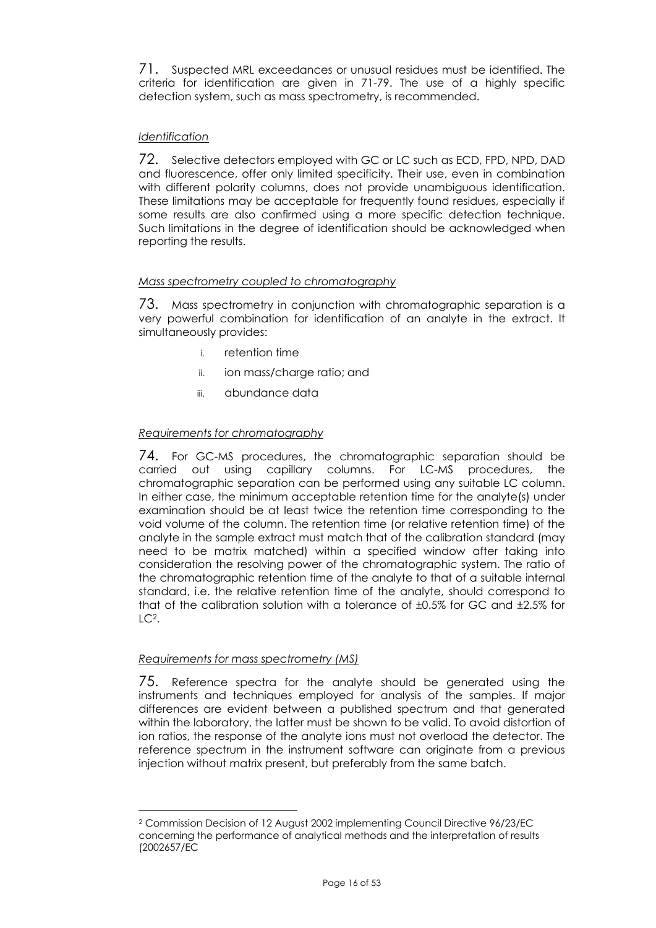71. Suspected MRL exceedances or unusual residues must be identified. The criteria for identification are given in 71-79. The use of a highly specific detection system, such as mass spectrometry, is recommended.

## *Identification*

72. Selective detectors employed with GC or LC such as ECD, FPD, NPD, DAD and fluorescence, offer only limited specificity. Their use, even in combination with different polarity columns, does not provide unambiguous identification. These limitations may be acceptable for frequently found residues, especially if some results are also confirmed using a more specific detection technique. Such limitations in the degree of identification should be acknowledged when reporting the results.

#### *Mass spectrometry coupled to chromatography*

73. Mass spectrometry in conjunction with chromatographic separation is a very powerful combination for identification of an analyte in the extract. It simultaneously provides:

- i. retention time
- ii. ion mass/charge ratio; and
- iii. abundance data

#### *Requirements for chromatography*

74. For GC-MS procedures, the chromatographic separation should be carried out using capillary columns. For LC-MS procedures, the chromatographic separation can be performed using any suitable LC column. In either case, the minimum acceptable retention time for the analyte(s) under examination should be at least twice the retention time corresponding to the void volume of the column. The retention time (or relative retention time) of the analyte in the sample extract must match that of the calibration standard (may need to be matrix matched) within a specified window after taking into consideration the resolving power of the chromatographic system. The ratio of the chromatographic retention time of the analyte to that of a suitable internal standard, i.e. the relative retention time of the analyte, should correspond to that of the calibration solution with a tolerance of ±0.5% for GC and ±2.5% for  $IC<sup>2</sup>$ .

#### *Requirements for mass spectrometry (MS)*

1

75. Reference spectra for the analyte should be generated using the instruments and techniques employed for analysis of the samples. If major differences are evident between a published spectrum and that generated within the laboratory, the latter must be shown to be valid. To avoid distortion of ion ratios, the response of the analyte ions must not overload the detector. The reference spectrum in the instrument software can originate from a previous injection without matrix present, but preferably from the same batch.

<sup>2</sup> Commission Decision of 12 August 2002 implementing Council Directive 96/23/EC concerning the performance of analytical methods and the interpretation of results (2002657/EC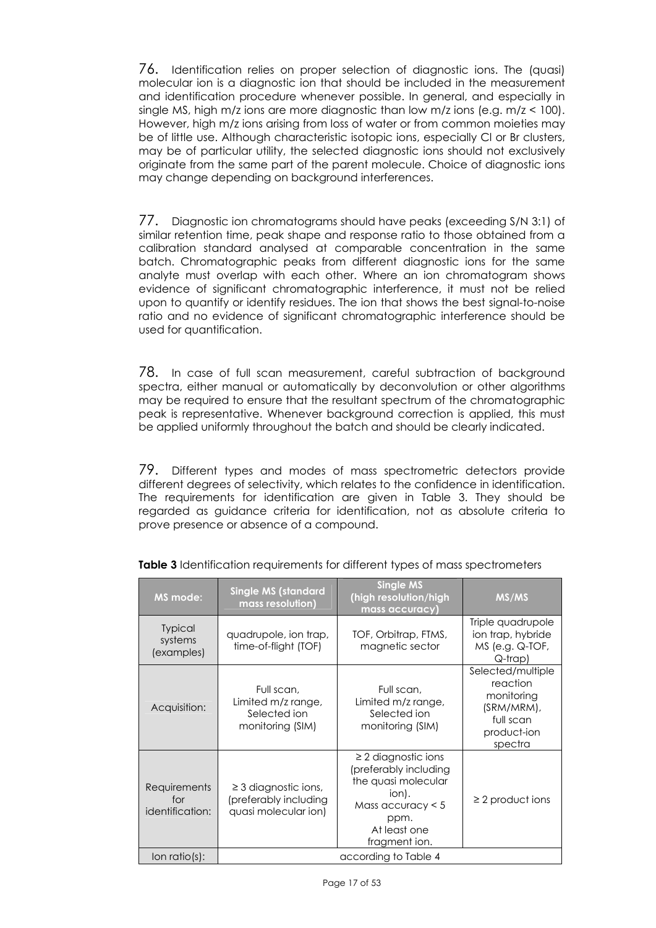76. Identification relies on proper selection of diagnostic ions. The (quasi) molecular ion is a diagnostic ion that should be included in the measurement and identification procedure whenever possible. In general, and especially in single MS, high m/z ions are more diagnostic than low m/z ions (e.g.  $m/z < 100$ ). However, high m/z ions arising from loss of water or from common moieties may be of little use. Although characteristic isotopic ions, especially Cl or Br clusters, may be of particular utility, the selected diagnostic ions should not exclusively originate from the same part of the parent molecule. Choice of diagnostic ions may change depending on background interferences.

77. Diagnostic ion chromatograms should have peaks (exceeding S/N 3:1) of similar retention time, peak shape and response ratio to those obtained from a calibration standard analysed at comparable concentration in the same batch. Chromatographic peaks from different diagnostic ions for the same analyte must overlap with each other. Where an ion chromatogram shows evidence of significant chromatographic interference, it must not be relied upon to quantify or identify residues. The ion that shows the best signal-to-noise ratio and no evidence of significant chromatographic interference should be used for quantification.

78. In case of full scan measurement, careful subtraction of background spectra, either manual or automatically by deconvolution or other algorithms may be required to ensure that the resultant spectrum of the chromatographic peak is representative. Whenever background correction is applied, this must be applied uniformly throughout the batch and should be clearly indicated.

79. Different types and modes of mass spectrometric detectors provide different degrees of selectivity, which relates to the confidence in identification. The requirements for identification are given in Table 3. They should be regarded as guidance criteria for identification, not as absolute criteria to prove presence or absence of a compound.

| <b>MS mode:</b>                               | Single MS (standard<br>mass resolution)                                    | <b>Single MS</b><br>(high resolution/high<br>mass accuracy)                                                                                       | MS/MS                                                                                            |
|-----------------------------------------------|----------------------------------------------------------------------------|---------------------------------------------------------------------------------------------------------------------------------------------------|--------------------------------------------------------------------------------------------------|
| <b>Typical</b><br>systems<br>(examples)       | quadrupole, ion trap,<br>time-of-flight (TOF)                              | TOF, Orbitrap, FTMS,<br>magnetic sector                                                                                                           | Triple quadrupole<br>ion trap, hybride<br>$MS$ (e.g. Q-TOF,<br>Q-trap)                           |
| Acquisition:                                  | Full scan,<br>Limited m/z range,<br>Selected ion<br>monitoring (SIM)       | Full scan,<br>Limited m/z range,<br>Selected ion<br>monitoring (SIM)                                                                              | Selected/multiple<br>reaction<br>monitoring<br>(SRM/MRM),<br>full scan<br>product-ion<br>spectra |
| <b>Requirements</b><br>for<br>identification: | $\geq$ 3 diagnostic ions,<br>(preferably including<br>quasi molecular ion) | $\geq$ 2 diagnostic ions<br>(preferably including<br>the quasi molecular<br>ion).<br>Mass accuracy $<$ 5<br>ppm.<br>At least one<br>fragment ion. | $\geq$ 2 product ions                                                                            |
| lon ratio(s):                                 | according to Table 4                                                       |                                                                                                                                                   |                                                                                                  |

**Table 3** Identification requirements for different types of mass spectrometers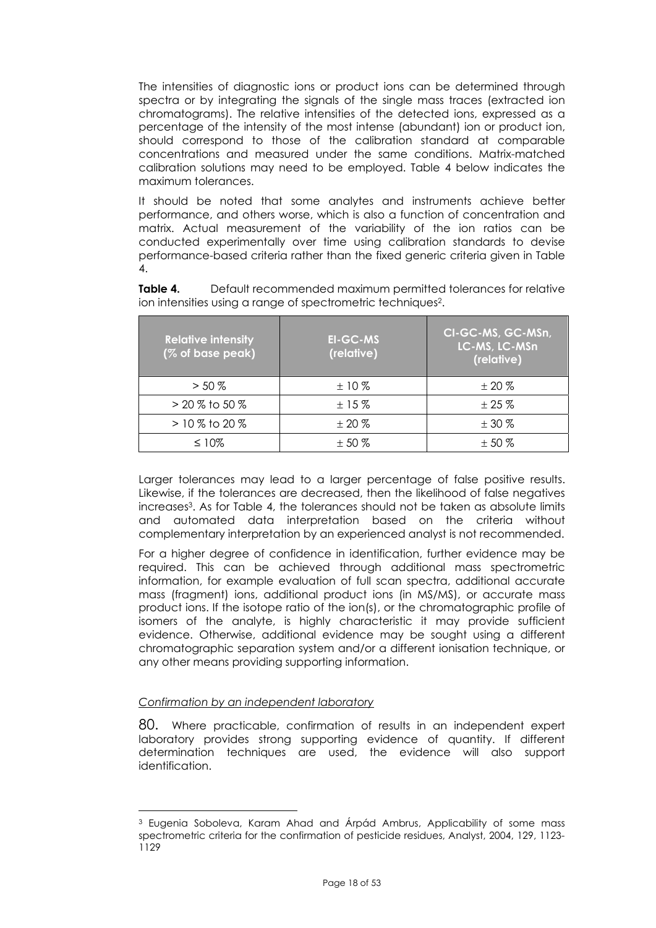The intensities of diagnostic ions or product ions can be determined through spectra or by integrating the signals of the single mass traces (extracted ion chromatograms). The relative intensities of the detected ions, expressed as a percentage of the intensity of the most intense (abundant) ion or product ion, should correspond to those of the calibration standard at comparable concentrations and measured under the same conditions. Matrix-matched calibration solutions may need to be employed. Table 4 below indicates the maximum tolerances.

It should be noted that some analytes and instruments achieve better performance, and others worse, which is also a function of concentration and matrix. Actual measurement of the variability of the ion ratios can be conducted experimentally over time using calibration standards to devise performance-based criteria rather than the fixed generic criteria given in Table 4.

| <b>Relative intensity</b><br>(% of base peak) | <b>EI-GC-MS</b><br>(relative) | CI-GC-MS, GC-MSn,<br>LC-MS, LC-MSn<br>(relative) |
|-----------------------------------------------|-------------------------------|--------------------------------------------------|
| $> 50\%$                                      | $\pm 10\%$                    | $\pm 20\%$                                       |
| $> 20\%$ to 50 %                              | $\pm$ 15 %                    | $± 25 \%$                                        |
| $>10\%$ to 20%                                | $\pm 20\%$                    | $\pm$ 30 $\%$                                    |
| ≤ 10%                                         | $\pm$ 50 $\%$                 | ± 50%                                            |

**Table 4.** Default recommended maximum permitted tolerances for relative ion intensities using a range of spectrometric techniques2.

Larger tolerances may lead to a larger percentage of false positive results. Likewise, if the tolerances are decreased, then the likelihood of false negatives increases3. As for Table 4, the tolerances should not be taken as absolute limits and automated data interpretation based on the criteria without complementary interpretation by an experienced analyst is not recommended.

For a higher degree of confidence in identification, further evidence may be required. This can be achieved through additional mass spectrometric information, for example evaluation of full scan spectra, additional accurate mass (fragment) ions, additional product ions (in MS/MS), or accurate mass product ions. If the isotope ratio of the ion(s), or the chromatographic profile of isomers of the analyte, is highly characteristic it may provide sufficient evidence. Otherwise, additional evidence may be sought using a different chromatographic separation system and/or a different ionisation technique, or any other means providing supporting information.

#### *Confirmation by an independent laboratory*

1

80. Where practicable, confirmation of results in an independent expert laboratory provides strong supporting evidence of quantity. If different determination techniques are used, the evidence will also support identification.

<sup>3</sup> Eugenia Soboleva, Karam Ahad and Árpád Ambrus, Applicability of some mass spectrometric criteria for the confirmation of pesticide residues, Analyst, 2004, 129, 1123- 1129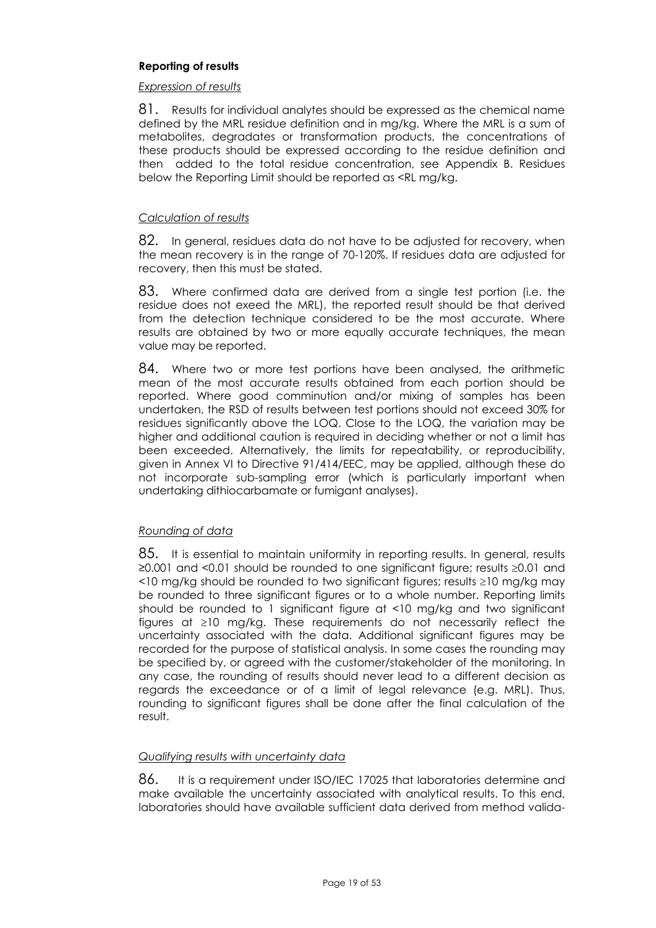#### **Reporting of results**

#### *Expression of results*

81. Results for individual analytes should be expressed as the chemical name defined by the MRL residue definition and in mg/kg. Where the MRL is a sum of metabolites, degradates or transformation products, the concentrations of these products should be expressed according to the residue definition and then added to the total residue concentration, see Appendix B. Residues below the Reporting Limit should be reported as <RL mg/kg.

#### *Calculation of results*

82. In general, residues data do not have to be adjusted for recovery, when the mean recovery is in the range of 70-120%. If residues data are adjusted for recovery, then this must be stated.

83. Where confirmed data are derived from a single test portion (i.e. the residue does not exeed the MRL), the reported result should be that derived from the detection technique considered to be the most accurate. Where results are obtained by two or more equally accurate techniques, the mean value may be reported.

84. Where two or more test portions have been analysed, the arithmetic mean of the most accurate results obtained from each portion should be reported. Where good comminution and/or mixing of samples has been undertaken, the RSD of results between test portions should not exceed 30% for residues significantly above the LOQ. Close to the LOQ, the variation may be higher and additional caution is required in deciding whether or not a limit has been exceeded. Alternatively, the limits for repeatability, or reproducibility, given in Annex VI to Directive 91/414/EEC, may be applied, although these do not incorporate sub-sampling error (which is particularly important when undertaking dithiocarbamate or fumigant analyses).

#### *Rounding of data*

85. It is essential to maintain uniformity in reporting results. In general, results ≥0.001 and <0.01 should be rounded to one significant figure; results ≥0.01 and <10 mg/kg should be rounded to two significant figures; results ≥10 mg/kg may be rounded to three significant figures or to a whole number. Reporting limits should be rounded to 1 significant figure at <10 mg/kg and two significant figures at ≥10 mg/kg. These requirements do not necessarily reflect the uncertainty associated with the data. Additional significant figures may be recorded for the purpose of statistical analysis. In some cases the rounding may be specified by, or agreed with the customer/stakeholder of the monitoring. In any case, the rounding of results should never lead to a different decision as regards the exceedance or of a limit of legal relevance (e.g. MRL). Thus, rounding to significant figures shall be done after the final calculation of the result.

#### *Qualifying results with uncertainty data*

86. It is a requirement under ISO/IEC 17025 that laboratories determine and make available the uncertainty associated with analytical results. To this end, laboratories should have available sufficient data derived from method valida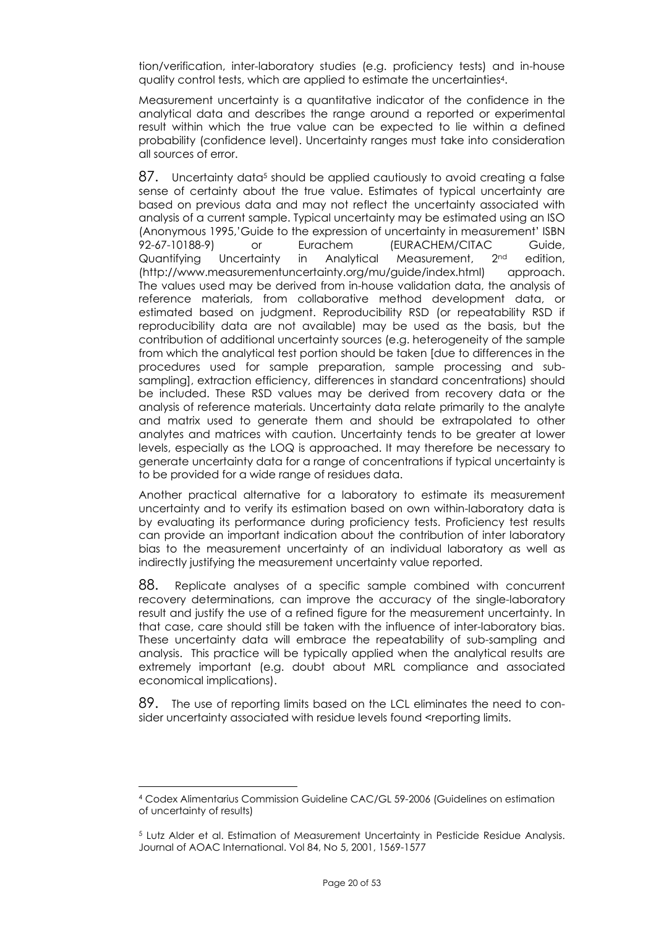tion/verification, inter-laboratory studies (e.g. proficiency tests) and in-house quality control tests, which are applied to estimate the uncertainties4.

Measurement uncertainty is a quantitative indicator of the confidence in the analytical data and describes the range around a reported or experimental result within which the true value can be expected to lie within a defined probability (confidence level). Uncertainty ranges must take into consideration all sources of error.

87. Uncertainty data<sup>5</sup> should be applied cautiously to avoid creating a false sense of certainty about the true value. Estimates of typical uncertainty are based on previous data and may not reflect the uncertainty associated with analysis of a current sample. Typical uncertainty may be estimated using an ISO (Anonymous 1995,'Guide to the expression of uncertainty in measurement' ISBN 92-67-10188-9) or Eurachem (EURACHEM/CITAC Guide, Quantifying Uncertainty in Analytical Measurement, 2nd edition, (http://www.measurementuncertainty.org/mu/guide/index.html) approach. The values used may be derived from in-house validation data, the analysis of reference materials, from collaborative method development data, or estimated based on judgment. Reproducibility RSD (or repeatability RSD if reproducibility data are not available) may be used as the basis, but the contribution of additional uncertainty sources (e.g. heterogeneity of the sample from which the analytical test portion should be taken [due to differences in the procedures used for sample preparation, sample processing and subsampling], extraction efficiency, differences in standard concentrations) should be included. These RSD values may be derived from recovery data or the analysis of reference materials. Uncertainty data relate primarily to the analyte and matrix used to generate them and should be extrapolated to other analytes and matrices with caution. Uncertainty tends to be greater at lower levels, especially as the LOQ is approached. It may therefore be necessary to generate uncertainty data for a range of concentrations if typical uncertainty is to be provided for a wide range of residues data.

Another practical alternative for a laboratory to estimate its measurement uncertainty and to verify its estimation based on own within-laboratory data is by evaluating its performance during proficiency tests. Proficiency test results can provide an important indication about the contribution of inter laboratory bias to the measurement uncertainty of an individual laboratory as well as indirectly justifying the measurement uncertainty value reported.

88. Replicate analyses of a specific sample combined with concurrent recovery determinations, can improve the accuracy of the single-laboratory result and justify the use of a refined figure for the measurement uncertainty. In that case, care should still be taken with the influence of inter-laboratory bias. These uncertainty data will embrace the repeatability of sub-sampling and analysis. This practice will be typically applied when the analytical results are extremely important (e.g. doubt about MRL compliance and associated economical implications).

89. The use of reporting limits based on the LCL eliminates the need to consider uncertainty associated with residue levels found <reporting limits.

<u>.</u>

<sup>4</sup> Codex Alimentarius Commission Guideline CAC/GL 59-2006 (Guidelines on estimation of uncertainty of results)

<sup>5</sup> Lutz Alder et al. Estimation of Measurement Uncertainty in Pesticide Residue Analysis. Journal of AOAC International. Vol 84, No 5, 2001, 1569-1577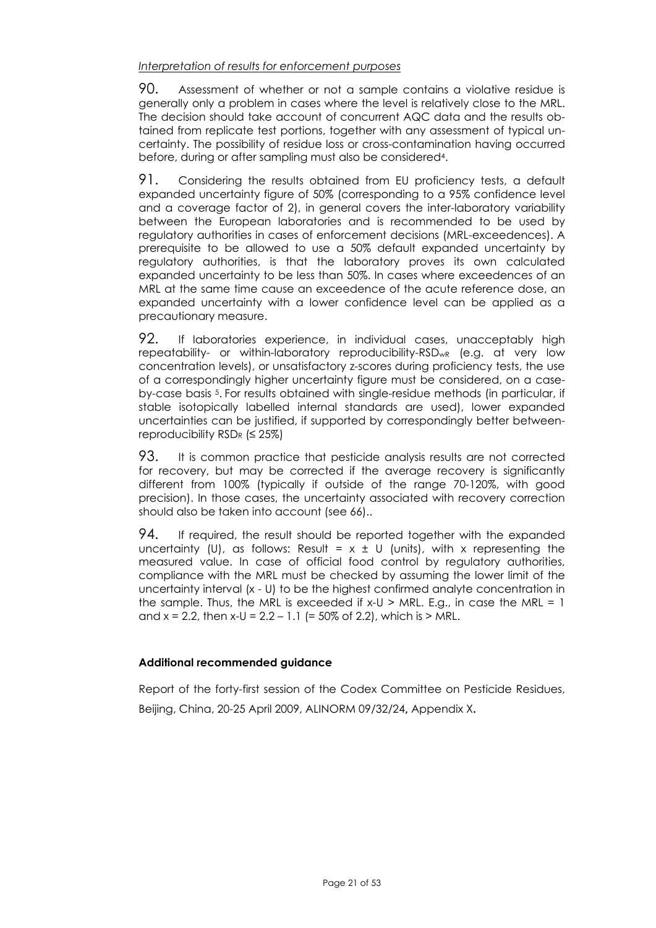#### *Interpretation of results for enforcement purposes*

90. Assessment of whether or not a sample contains a violative residue is generally only a problem in cases where the level is relatively close to the MRL. The decision should take account of concurrent AQC data and the results obtained from replicate test portions, together with any assessment of typical uncertainty. The possibility of residue loss or cross-contamination having occurred before, during or after sampling must also be considered4.

91. Considering the results obtained from EU proficiency tests, a default expanded uncertainty figure of 50% (corresponding to a 95% confidence level and a coverage factor of 2), in general covers the inter-laboratory variability between the European laboratories and is recommended to be used by regulatory authorities in cases of enforcement decisions (MRL-exceedences). A prerequisite to be allowed to use a 50% default expanded uncertainty by regulatory authorities, is that the laboratory proves its own calculated expanded uncertainty to be less than 50%. In cases where exceedences of an MRL at the same time cause an exceedence of the acute reference dose, an expanded uncertainty with a lower confidence level can be applied as a precautionary measure.

92. If laboratories experience, in individual cases, unacceptably high repeatability- or within-laboratory reproducibility-RSDwR (e.g. at very low concentration levels), or unsatisfactory z-scores during proficiency tests, the use of a correspondingly higher uncertainty figure must be considered, on a caseby-case basis 5. For results obtained with single-residue methods (in particular, if stable isotopically labelled internal standards are used), lower expanded uncertainties can be justified, if supported by correspondingly better betweenreproducibility  $RSD_R$  ( $\leq$  25%)

93. It is common practice that pesticide analysis results are not corrected for recovery, but may be corrected if the average recovery is significantly different from 100% (typically if outside of the range 70-120%, with good precision). In those cases, the uncertainty associated with recovery correction should also be taken into account (see 66)..

94. If required, the result should be reported together with the expanded uncertainty (U), as follows: Result =  $x \pm U$  (units), with x representing the measured value. In case of official food control by regulatory authorities, compliance with the MRL must be checked by assuming the lower limit of the uncertainty interval (x - U) to be the highest confirmed analyte concentration in the sample. Thus, the MRL is exceeded if  $x-U$  > MRL. E.g., in case the MRL = 1 and  $x = 2.2$ , then  $x-U = 2.2 - 1.1$  (= 50% of 2.2), which is  $> MRL$ .

#### **Additional recommended guidance**

Report of the forty-first session of the Codex Committee on Pesticide Residues, Beijing, China, 20-25 April 2009, ALINORM 09/32/24**,** Appendix X**.**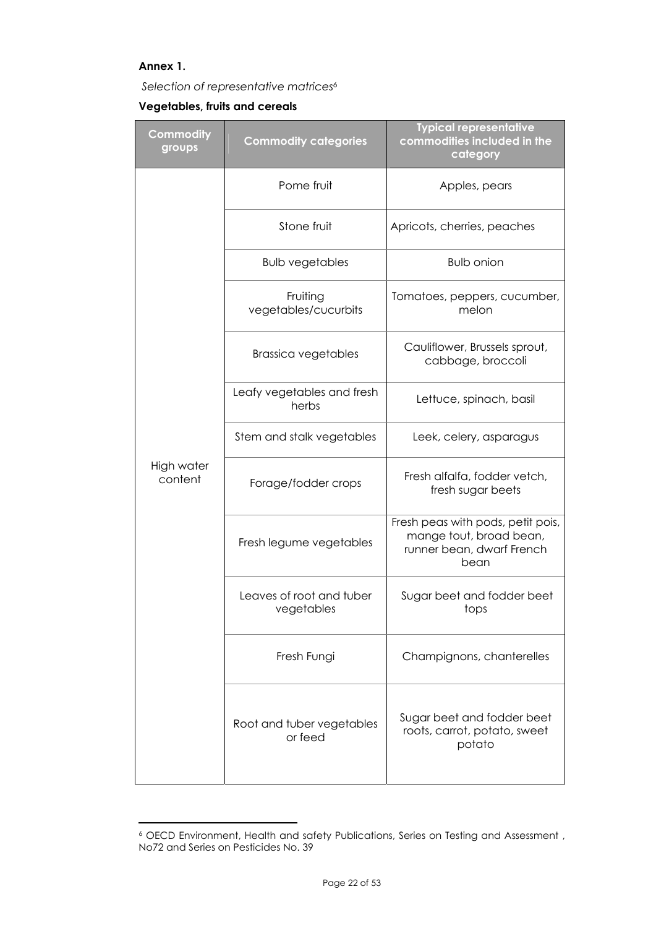# **Annex 1.**

<u>.</u>

*Selection of representative matrices6*

#### **Vegetables, fruits and cereals**

| Commodity<br>groups   | <b>Commodity categories</b>            | <b>Typical representative</b><br>commodities included in the<br>category                          |
|-----------------------|----------------------------------------|---------------------------------------------------------------------------------------------------|
|                       | Pome fruit                             | Apples, pears                                                                                     |
|                       | Stone fruit                            | Apricots, cherries, peaches                                                                       |
|                       | <b>Bulb vegetables</b>                 | <b>Bulb onion</b>                                                                                 |
|                       | Fruiting<br>vegetables/cucurbits       | Tomatoes, peppers, cucumber,<br>melon                                                             |
|                       | <b>Brassica vegetables</b>             | Cauliflower, Brussels sprout,<br>cabbage, broccoli                                                |
|                       | Leafy vegetables and fresh<br>herbs    | Lettuce, spinach, basil                                                                           |
|                       | Stem and stalk vegetables              | Leek, celery, asparagus                                                                           |
| High water<br>content | Forage/fodder crops                    | Fresh alfalfa, fodder vetch,<br>fresh sugar beets                                                 |
|                       | Fresh legume vegetables                | Fresh peas with pods, petit pois,<br>mange tout, broad bean,<br>runner bean, dwarf French<br>bean |
|                       | Leaves of root and tuber<br>vegetables | Sugar beet and fodder beet<br>tops                                                                |
|                       | Fresh Fungi                            | Champignons, chanterelles                                                                         |
|                       | Root and tuber vegetables<br>or feed   | Sugar beet and fodder beet<br>roots, carrot, potato, sweet<br>potato                              |

<sup>6</sup> OECD Environment, Health and safety Publications, Series on Testing and Assessment , No72 and Series on Pesticides No. 39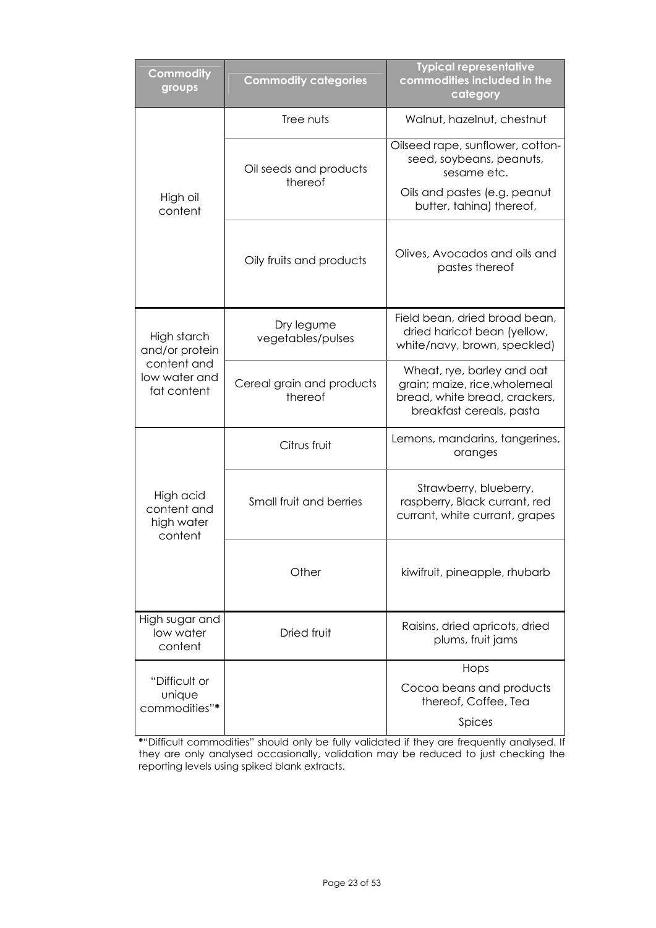| Commodity<br>groups                               | <b>Commodity categories</b>          | <b>Typical representative</b><br>commodities included in the<br>category                                                                |
|---------------------------------------------------|--------------------------------------|-----------------------------------------------------------------------------------------------------------------------------------------|
|                                                   | Tree nuts                            | Walnut, hazelnut, chestnut                                                                                                              |
| High oil<br>content                               | Oil seeds and products<br>thereof    | Oilseed rape, sunflower, cotton-<br>seed, soybeans, peanuts,<br>sesame etc.<br>Oils and pastes (e.g. peanut<br>butter, tahina) thereof, |
|                                                   | Oily fruits and products             | Olives, Avocados and oils and<br>pastes thereof                                                                                         |
| High starch<br>and/or protein                     | Dry legume<br>vegetables/pulses      | Field bean, dried broad bean,<br>dried haricot bean (yellow,<br>white/navy, brown, speckled)                                            |
| content and<br>low water and<br>fat content       | Cereal grain and products<br>thereof | Wheat, rye, barley and oat<br>grain; maize, rice, wholemeal<br>bread, white bread, crackers,<br>breakfast cereals, pasta                |
|                                                   | Citrus fruit                         | Lemons, mandarins, tangerines,<br>oranges                                                                                               |
| High acid<br>content and<br>high water<br>content | Small fruit and berries              | Strawberry, blueberry,<br>raspberry, Black currant, red<br>currant, white currant, grapes                                               |
|                                                   | Other                                | kiwifruit, pineapple, rhubarb                                                                                                           |
| High sugar and<br>low water<br>content            | Dried fruit                          | Raisins, dried apricots, dried<br>plums, fruit jams                                                                                     |
| "Difficult or<br>unique<br>commodities"*          |                                      | Hops<br>Cocoa beans and products<br>thereof, Coffee, Tea<br>Spices                                                                      |

**\***"Difficult commodities" should only be fully validated if they are frequently analysed. If they are only analysed occasionally, validation may be reduced to just checking the reporting levels using spiked blank extracts.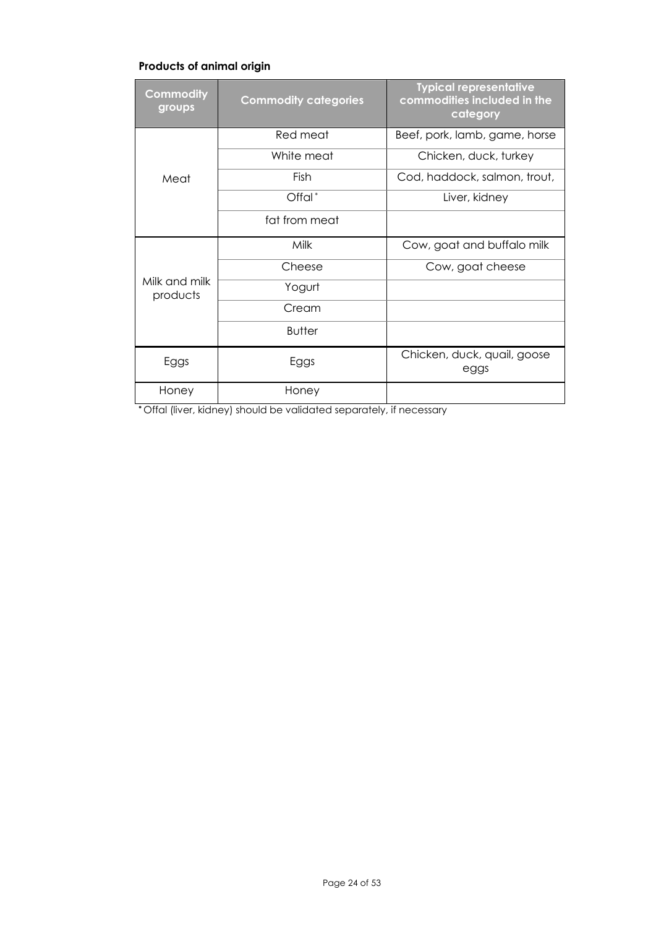# **Products of animal origin**

| Commodity<br>groups       | <b>Commodity categories</b> | <b>Typical representative</b><br>commodities included in the<br>category |
|---------------------------|-----------------------------|--------------------------------------------------------------------------|
|                           | Red meat                    | Beef, pork, lamb, game, horse                                            |
|                           | White meat                  | Chicken, duck, turkey                                                    |
| Meat                      | Fish                        | Cod, haddock, salmon, trout,                                             |
|                           | Offal <sup>*</sup>          | Liver, kidney                                                            |
|                           | fat from meat               |                                                                          |
|                           | Milk                        | Cow, goat and buffalo milk                                               |
| Milk and milk<br>products | Cheese                      | Cow, goat cheese                                                         |
|                           | Yogurt                      |                                                                          |
|                           | Cream                       |                                                                          |
|                           | <b>Butter</b>               |                                                                          |
| Eggs                      | Eggs                        | Chicken, duck, quail, goose<br>eggs                                      |
| Honey                     | Honey                       |                                                                          |

**\*** Offal (liver, kidney) should be validated separately, if necessary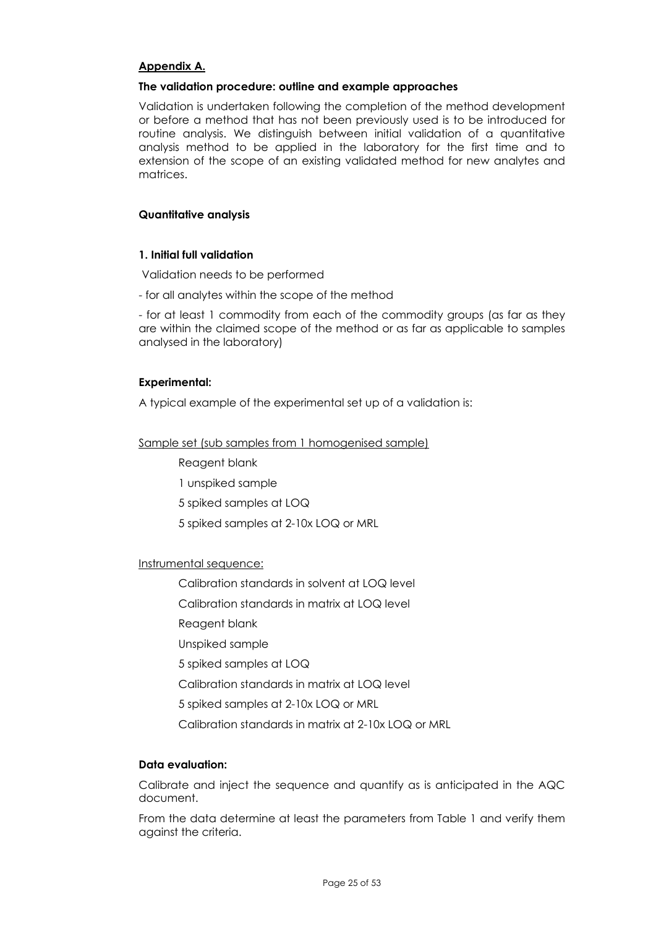#### **Appendix A.**

#### **The validation procedure: outline and example approaches**

Validation is undertaken following the completion of the method development or before a method that has not been previously used is to be introduced for routine analysis. We distinguish between initial validation of a quantitative analysis method to be applied in the laboratory for the first time and to extension of the scope of an existing validated method for new analytes and matrices.

#### **Quantitative analysis**

#### **1. Initial full validation**

Validation needs to be performed

- for all analytes within the scope of the method

- for at least 1 commodity from each of the commodity groups (as far as they are within the claimed scope of the method or as far as applicable to samples analysed in the laboratory)

#### **Experimental:**

A typical example of the experimental set up of a validation is:

Sample set (sub samples from 1 homogenised sample)

Reagent blank

1 unspiked sample

5 spiked samples at LOQ

5 spiked samples at 2-10x LOQ or MRL

#### Instrumental sequence:

Calibration standards in solvent at LOQ level

Calibration standards in matrix at LOQ level

Reagent blank

Unspiked sample

5 spiked samples at LOQ

Calibration standards in matrix at LOQ level

5 spiked samples at 2-10x LOQ or MRL

Calibration standards in matrix at 2-10x LOQ or MRL

#### **Data evaluation:**

Calibrate and inject the sequence and quantify as is anticipated in the AQC document.

From the data determine at least the parameters from Table 1 and verify them against the criteria.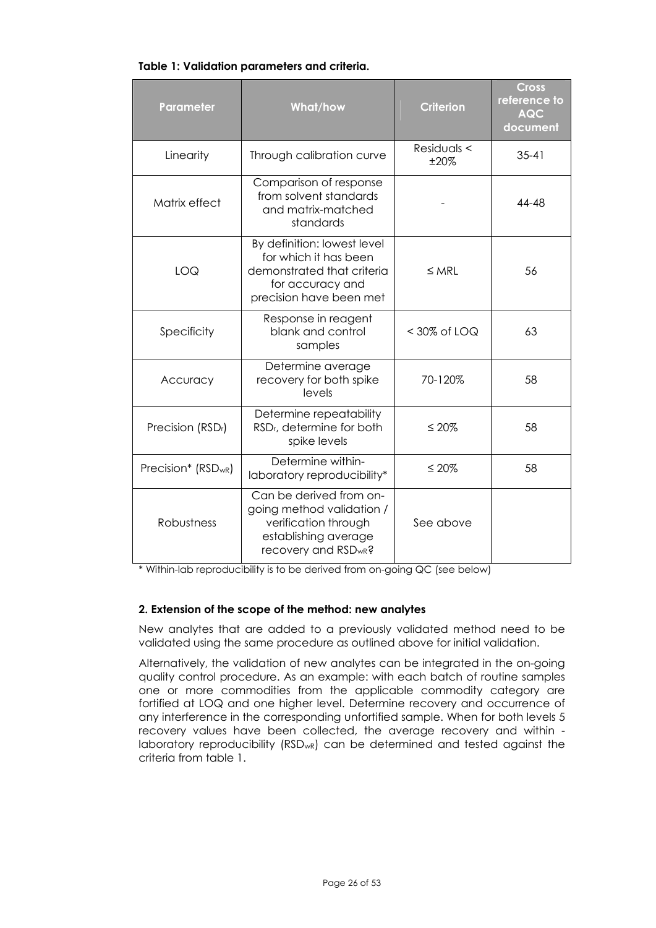| Parameter                       | <b>What/how</b><br><b>Criterion</b>                                                                                                      |                     | <b>Cross</b><br>reference to<br><b>AQC</b><br>document |
|---------------------------------|------------------------------------------------------------------------------------------------------------------------------------------|---------------------|--------------------------------------------------------|
| Linearity                       | Through calibration curve                                                                                                                | Residuals <<br>±20% | $35 - 41$                                              |
| Matrix effect                   | Comparison of response<br>from solvent standards<br>and matrix-matched<br>standards                                                      |                     | 44-48                                                  |
| LOQ                             | By definition: lowest level<br>for which it has been<br>demonstrated that criteria<br>for accuracy and<br>precision have been met        | $\leq MRL$          | 56                                                     |
| Specificity                     | Response in reagent<br>blank and control<br>samples                                                                                      | $<$ 30% of LOQ      | 63                                                     |
| Accuracy                        | Determine average<br>recovery for both spike<br>levels                                                                                   | 70-120%             | 58                                                     |
| Precision (RSD <sub>r</sub> )   | Determine repeatability<br>RSD <sub>r</sub> , determine for both<br>spike levels                                                         | $\leq 20\%$         | 58                                                     |
| Precision* (RSD <sub>wR</sub> ) | Determine within-<br>laboratory reproducibility*                                                                                         | $≤ 20%$             | 58                                                     |
| Robustness                      | Can be derived from on-<br>going method validation /<br>verification through<br>establishing average<br>recovery and RSD <sub>wR</sub> ? | See above           |                                                        |

# **Table 1: Validation parameters and criteria.**

\* Within-lab reproducibility is to be derived from on-going QC (see below)

#### **2. Extension of the scope of the method: new analytes**

New analytes that are added to a previously validated method need to be validated using the same procedure as outlined above for initial validation.

Alternatively, the validation of new analytes can be integrated in the on-going quality control procedure. As an example: with each batch of routine samples one or more commodities from the applicable commodity category are fortified at LOQ and one higher level. Determine recovery and occurrence of any interference in the corresponding unfortified sample. When for both levels 5 recovery values have been collected, the average recovery and within laboratory reproducibility (RSDwR) can be determined and tested against the criteria from table 1.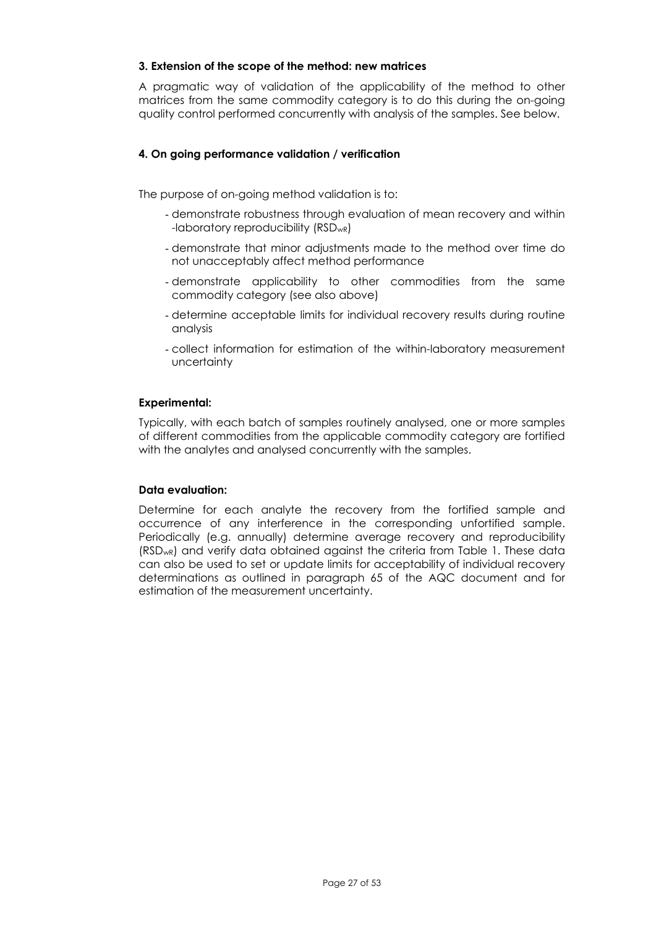#### **3. Extension of the scope of the method: new matrices**

A pragmatic way of validation of the applicability of the method to other matrices from the same commodity category is to do this during the on-going quality control performed concurrently with analysis of the samples. See below.

#### **4. On going performance validation / verification**

The purpose of on-going method validation is to:

- demonstrate robustness through evaluation of mean recovery and within -laboratory reproducibility (RSDwR)
- demonstrate that minor adjustments made to the method over time do not unacceptably affect method performance
- demonstrate applicability to other commodities from the same commodity category (see also above)
- determine acceptable limits for individual recovery results during routine analysis
- collect information for estimation of the within-laboratory measurement uncertainty

#### **Experimental:**

Typically, with each batch of samples routinely analysed, one or more samples of different commodities from the applicable commodity category are fortified with the analytes and analysed concurrently with the samples.

#### **Data evaluation:**

Determine for each analyte the recovery from the fortified sample and occurrence of any interference in the corresponding unfortified sample. Periodically (e.g. annually) determine average recovery and reproducibility (RSDwR) and verify data obtained against the criteria from Table 1. These data can also be used to set or update limits for acceptability of individual recovery determinations as outlined in paragraph 65 of the AQC document and for estimation of the measurement uncertainty.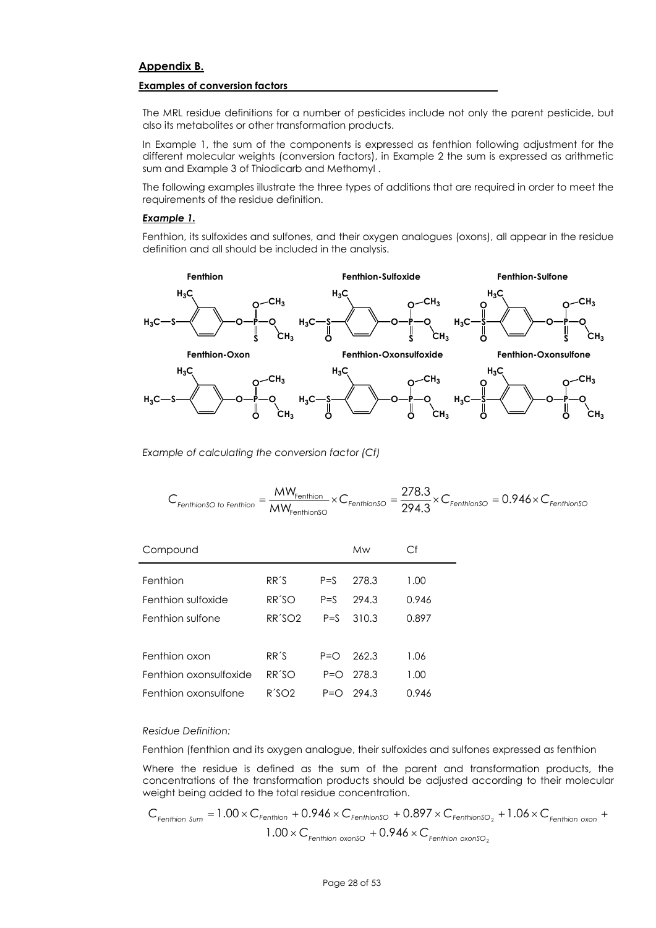#### **Appendix B.**

#### **Examples of conversion factors**

The MRL residue definitions for a number of pesticides include not only the parent pesticide, but also its metabolites or other transformation products.

In Example 1, the sum of the components is expressed as fenthion following adjustment for the different molecular weights (conversion factors), in Example 2 the sum is expressed as arithmetic sum and Example 3 of Thiodicarb and Methomyl .

The following examples illustrate the three types of additions that are required in order to meet the requirements of the residue definition.

#### *Example 1.*

Fenthion, its sulfoxides and sulfones, and their oxygen analogues (oxons), all appear in the residue definition and all should be included in the analysis.



*Example of calculating the conversion factor (Cf)* 

$$
C_{\text{FenthionsO to Fenthion}} = \frac{MW_{\text{Fenthion}}}{MW_{\text{FenthionsO}}} \times C_{\text{FenthionsO}} = \frac{278.3}{294.3} \times C_{\text{FenthionsO}} = 0.946 \times C_{\text{FenthionsO}}
$$

| Compound                    |                    |               | Mw      |       |
|-----------------------------|--------------------|---------------|---------|-------|
| Fenthion                    | RR'S               | $P = S$       | 278.3   | 1.00  |
| Fenthion sulfoxide          | RR'SO              | $P = S$       | 294.3   | 0.946 |
| Fenthion sulfone            | RR'SO <sub>2</sub> | $P = S$       | 310.3   | 0.897 |
|                             |                    |               |         |       |
| <b>Fenthion oxon</b>        | RR'S               | $P = \bigcap$ | 262.3   | 1.06  |
| Fenthion oxonsulfoxide      | RR'SO              | $P = \bigcap$ | - 278.3 | 1.00  |
| <b>Fenthion oxonsulfone</b> | R'SO <sub>2</sub>  | $P = \bigcap$ | 294.3   | 0.946 |

#### *Residue Definition:*

Fenthion (fenthion and its oxygen analogue, their sulfoxides and sulfones expressed as fenthion

Where the residue is defined as the sum of the parent and transformation products, the concentrations of the transformation products should be adjusted according to their molecular weight being added to the total residue concentration.

$$
C_{\text{Fenthion Sum}} = 1.00 \times C_{\text{Fenthion}} + 0.946 \times C_{\text{Fenthion SO}} + 0.897 \times C_{\text{Fenthion SO}_2} + 1.06 \times C_{\text{Fenthion oxon}} + 1.00 \times C_{\text{Fenthion oxon SO}_2}
$$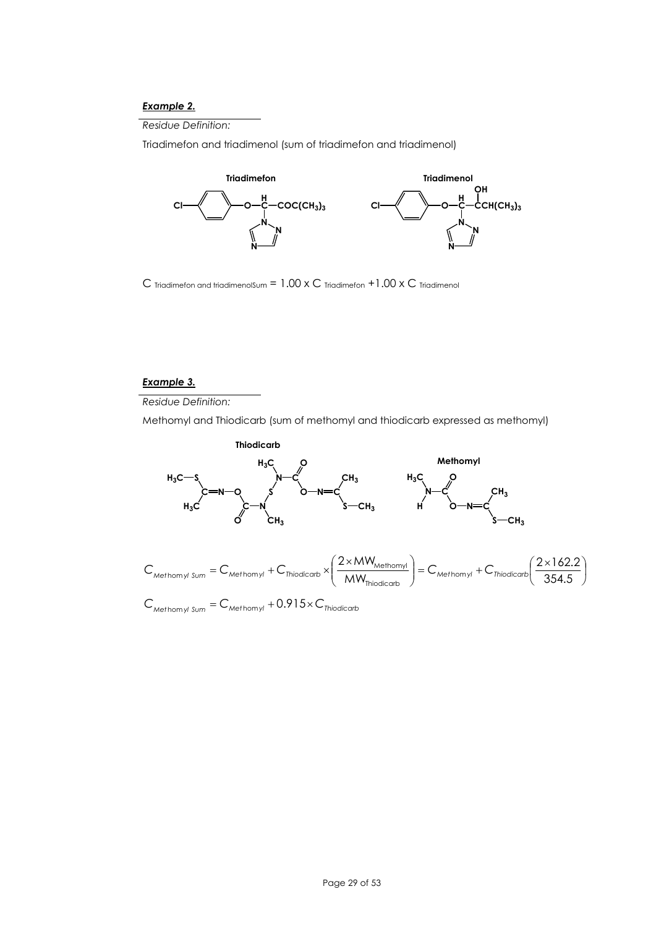#### *Example 2.*

*Residue Definition:* 

Triadimefon and triadimenol (sum of triadimefon and triadimenol)



C Triadimeton and triadimenolSum =  $1.00 \times$  C Triadimeton + 1.00  $\times$  C Triadimenol

#### *Example 3.*

*Residue Definition:* 

Methomyl and Thiodicarb (sum of methomyl and thiodicarb expressed as methomyl)

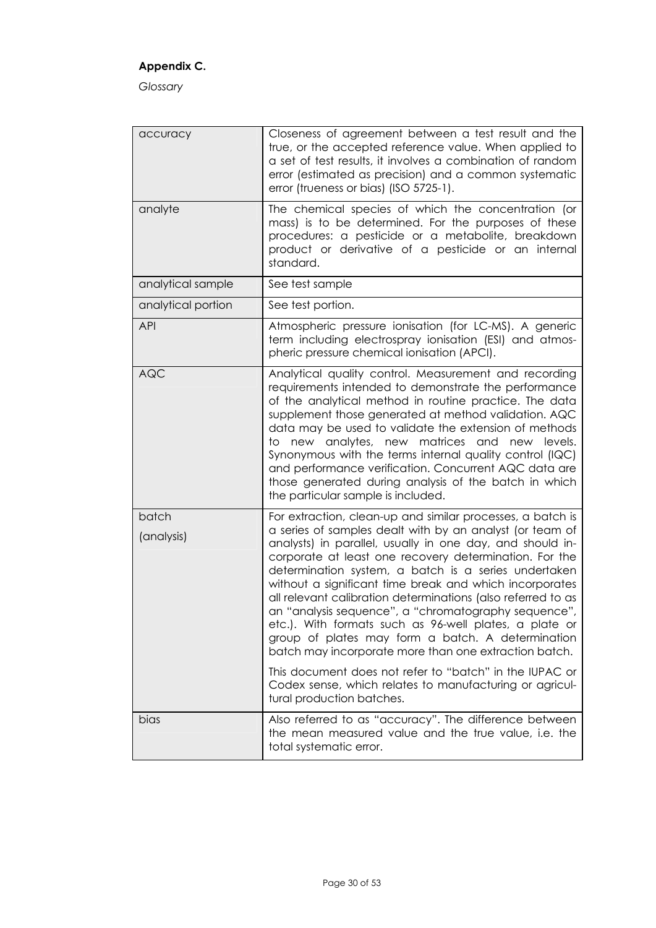# **Appendix C.**

*Glossary* 

| accuracy            | Closeness of agreement between a test result and the<br>true, or the accepted reference value. When applied to<br>a set of test results, it involves a combination of random<br>error (estimated as precision) and a common systematic<br>error (trueness or bias) (ISO 5725-1).                                                                                                                                                                                                                                                                                                                                                                                                                                                                                                                                    |
|---------------------|---------------------------------------------------------------------------------------------------------------------------------------------------------------------------------------------------------------------------------------------------------------------------------------------------------------------------------------------------------------------------------------------------------------------------------------------------------------------------------------------------------------------------------------------------------------------------------------------------------------------------------------------------------------------------------------------------------------------------------------------------------------------------------------------------------------------|
| analyte             | The chemical species of which the concentration (or<br>mass) is to be determined. For the purposes of these<br>procedures: a pesticide or a metabolite, breakdown<br>product or derivative of a pesticide or an internal<br>standard.                                                                                                                                                                                                                                                                                                                                                                                                                                                                                                                                                                               |
| analytical sample   | See test sample                                                                                                                                                                                                                                                                                                                                                                                                                                                                                                                                                                                                                                                                                                                                                                                                     |
| analytical portion  | See test portion.                                                                                                                                                                                                                                                                                                                                                                                                                                                                                                                                                                                                                                                                                                                                                                                                   |
| <b>API</b>          | Atmospheric pressure ionisation (for LC-MS). A generic<br>term including electrospray ionisation (ESI) and atmos-<br>pheric pressure chemical ionisation (APCI).                                                                                                                                                                                                                                                                                                                                                                                                                                                                                                                                                                                                                                                    |
| <b>AQC</b>          | Analytical quality control. Measurement and recording<br>requirements intended to demonstrate the performance<br>of the analytical method in routine practice. The data<br>supplement those generated at method validation. AQC<br>data may be used to validate the extension of methods<br>matrices and<br>new analytes, new<br>to<br>new<br>levels.<br>Synonymous with the terms internal quality control (IQC)<br>and performance verification. Concurrent AQC data are<br>those generated during analysis of the batch in which<br>the particular sample is included.                                                                                                                                                                                                                                           |
| batch<br>(analysis) | For extraction, clean-up and similar processes, a batch is<br>a series of samples dealt with by an analyst (or team of<br>analysts) in parallel, usually in one day, and should in-<br>corporate at least one recovery determination. For the<br>determination system, a batch is a series undertaken<br>without a significant time break and which incorporates<br>all relevant calibration determinations (also referred to as<br>an "analysis sequence", a "chromatography sequence",<br>etc.). With formats such as 96-well plates, a plate or<br>group of plates may form a batch. A determination<br>batch may incorporate more than one extraction batch.<br>This document does not refer to "batch" in the IUPAC or<br>Codex sense, which relates to manufacturing or agricul-<br>tural production batches. |
| bias                | Also referred to as "accuracy". The difference between<br>the mean measured value and the true value, i.e. the<br>total systematic error.                                                                                                                                                                                                                                                                                                                                                                                                                                                                                                                                                                                                                                                                           |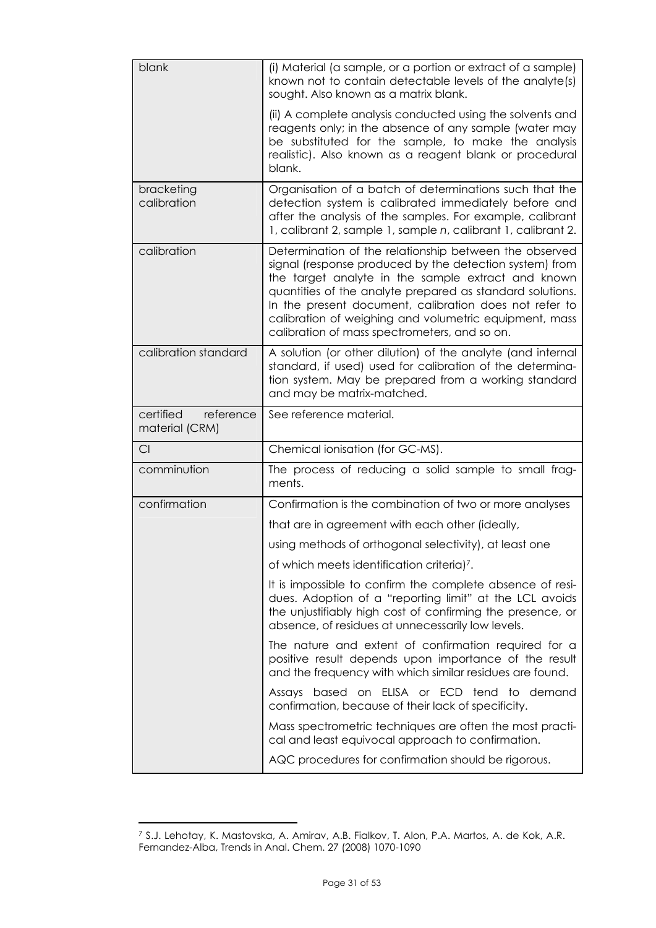| blank                                    | (i) Material (a sample, or a portion or extract of a sample)<br>known not to contain detectable levels of the analyte(s)<br>sought. Also known as a matrix blank.                                                                                                                                                                                                                                         |
|------------------------------------------|-----------------------------------------------------------------------------------------------------------------------------------------------------------------------------------------------------------------------------------------------------------------------------------------------------------------------------------------------------------------------------------------------------------|
|                                          | (ii) A complete analysis conducted using the solvents and<br>reagents only; in the absence of any sample (water may<br>be substituted for the sample, to make the analysis<br>realistic). Also known as a reagent blank or procedural<br>blank.                                                                                                                                                           |
| bracketing<br>calibration                | Organisation of a batch of determinations such that the<br>detection system is calibrated immediately before and<br>after the analysis of the samples. For example, calibrant<br>1, calibrant 2, sample 1, sample n, calibrant 1, calibrant 2.                                                                                                                                                            |
| calibration                              | Determination of the relationship between the observed<br>signal (response produced by the detection system) from<br>the target analyte in the sample extract and known<br>quantities of the analyte prepared as standard solutions.<br>In the present document, calibration does not refer to<br>calibration of weighing and volumetric equipment, mass<br>calibration of mass spectrometers, and so on. |
| calibration standard                     | A solution (or other dilution) of the analyte (and internal<br>standard, if used) used for calibration of the determina-<br>tion system. May be prepared from a working standard<br>and may be matrix-matched.                                                                                                                                                                                            |
| certified<br>reference<br>material (CRM) | See reference material.                                                                                                                                                                                                                                                                                                                                                                                   |
| CI                                       | Chemical ionisation (for GC-MS).                                                                                                                                                                                                                                                                                                                                                                          |
| comminution                              | The process of reducing a solid sample to small frag-<br>ments.                                                                                                                                                                                                                                                                                                                                           |
| confirmation                             |                                                                                                                                                                                                                                                                                                                                                                                                           |
|                                          | Confirmation is the combination of two or more analyses                                                                                                                                                                                                                                                                                                                                                   |
|                                          | that are in agreement with each other (ideally,                                                                                                                                                                                                                                                                                                                                                           |
|                                          | using methods of orthogonal selectivity), at least one                                                                                                                                                                                                                                                                                                                                                    |
|                                          | of which meets identification criteria)7.                                                                                                                                                                                                                                                                                                                                                                 |
|                                          | It is impossible to confirm the complete absence of resi-<br>dues. Adoption of a "reporting limit" at the LCL avoids<br>the unjustifiably high cost of confirming the presence, or<br>absence, of residues at unnecessarily low levels.                                                                                                                                                                   |
|                                          | The nature and extent of confirmation required for a<br>positive result depends upon importance of the result<br>and the frequency with which similar residues are found.                                                                                                                                                                                                                                 |
|                                          | Assays based on ELISA or ECD tend to demand<br>confirmation, because of their lack of specificity.                                                                                                                                                                                                                                                                                                        |
|                                          | Mass spectrometric techniques are often the most practi-<br>cal and least equivocal approach to confirmation.                                                                                                                                                                                                                                                                                             |

<u>.</u>

<sup>7</sup> S.J. Lehotay, K. Mastovska, A. Amirav, A.B. Fialkov, T. Alon, P.A. Martos, A. de Kok, A.R. Fernandez-Alba, Trends in Anal. Chem. 27 (2008) 1070-1090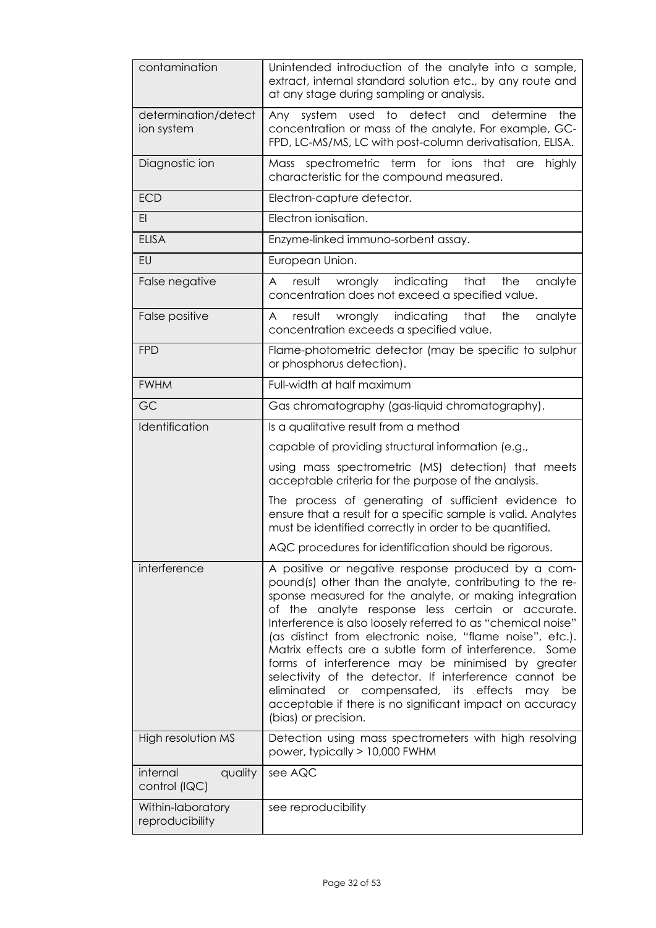| contamination                        | Unintended introduction of the analyte into a sample,<br>extract, internal standard solution etc., by any route and<br>at any stage during sampling or analysis.                                                                                                                                                                                                                                                                                                                                                                                                                                                                                                               |
|--------------------------------------|--------------------------------------------------------------------------------------------------------------------------------------------------------------------------------------------------------------------------------------------------------------------------------------------------------------------------------------------------------------------------------------------------------------------------------------------------------------------------------------------------------------------------------------------------------------------------------------------------------------------------------------------------------------------------------|
| determination/detect<br>ion system   | system used to detect and determine<br>the<br>Any<br>concentration or mass of the analyte. For example, GC-<br>FPD, LC-MS/MS, LC with post-column derivatisation, ELISA.                                                                                                                                                                                                                                                                                                                                                                                                                                                                                                       |
| Diagnostic ion                       | Mass spectrometric term for ions that<br>highly<br>are<br>characteristic for the compound measured.                                                                                                                                                                                                                                                                                                                                                                                                                                                                                                                                                                            |
| <b>ECD</b>                           | Electron-capture detector.                                                                                                                                                                                                                                                                                                                                                                                                                                                                                                                                                                                                                                                     |
| EI                                   | Electron ionisation.                                                                                                                                                                                                                                                                                                                                                                                                                                                                                                                                                                                                                                                           |
| <b>ELISA</b>                         | Enzyme-linked immuno-sorbent assay.                                                                                                                                                                                                                                                                                                                                                                                                                                                                                                                                                                                                                                            |
| EU                                   | European Union.                                                                                                                                                                                                                                                                                                                                                                                                                                                                                                                                                                                                                                                                |
| False negative                       | result wrongly indicating<br>that<br>the<br>analyte<br>A<br>concentration does not exceed a specified value.                                                                                                                                                                                                                                                                                                                                                                                                                                                                                                                                                                   |
| False positive                       | indicating<br>that<br>A<br>result<br>wrongly<br>the<br>analyte<br>concentration exceeds a specified value.                                                                                                                                                                                                                                                                                                                                                                                                                                                                                                                                                                     |
| <b>FPD</b>                           | Flame-photometric detector (may be specific to sulphur<br>or phosphorus detection).                                                                                                                                                                                                                                                                                                                                                                                                                                                                                                                                                                                            |
| <b>FWHM</b>                          | Full-width at half maximum                                                                                                                                                                                                                                                                                                                                                                                                                                                                                                                                                                                                                                                     |
| GC                                   | Gas chromatography (gas-liquid chromatography).                                                                                                                                                                                                                                                                                                                                                                                                                                                                                                                                                                                                                                |
| Identification                       | Is a qualitative result from a method                                                                                                                                                                                                                                                                                                                                                                                                                                                                                                                                                                                                                                          |
|                                      | capable of providing structural information (e.g.,                                                                                                                                                                                                                                                                                                                                                                                                                                                                                                                                                                                                                             |
|                                      | using mass spectrometric (MS) detection) that meets<br>acceptable criteria for the purpose of the analysis.                                                                                                                                                                                                                                                                                                                                                                                                                                                                                                                                                                    |
|                                      | The process of generating of sufficient evidence to<br>ensure that a result for a specific sample is valid. Analytes<br>must be identified correctly in order to be quantified.                                                                                                                                                                                                                                                                                                                                                                                                                                                                                                |
|                                      | AQC procedures for identification should be rigorous.                                                                                                                                                                                                                                                                                                                                                                                                                                                                                                                                                                                                                          |
| interference                         | A positive or negative response produced by a com-<br>pound(s) other than the analyte, contributing to the re-<br>sponse measured for the analyte, or making integration<br>of the analyte response less certain or accurate.<br>Interference is also loosely referred to as "chemical noise"<br>(as distinct from electronic noise, "flame noise", etc.).<br>Matrix effects are a subtle form of interference. Some<br>forms of interference may be minimised by greater<br>selectivity of the detector. If interference cannot be<br>eliminated or compensated, its effects<br>be<br>may<br>acceptable if there is no significant impact on accuracy<br>(bias) or precision. |
| High resolution MS                   | Detection using mass spectrometers with high resolving<br>power, typically > 10,000 FWHM                                                                                                                                                                                                                                                                                                                                                                                                                                                                                                                                                                                       |
| internal<br>quality<br>control (IQC) | see AQC                                                                                                                                                                                                                                                                                                                                                                                                                                                                                                                                                                                                                                                                        |
| Within-laboratory<br>reproducibility | see reproducibility                                                                                                                                                                                                                                                                                                                                                                                                                                                                                                                                                                                                                                                            |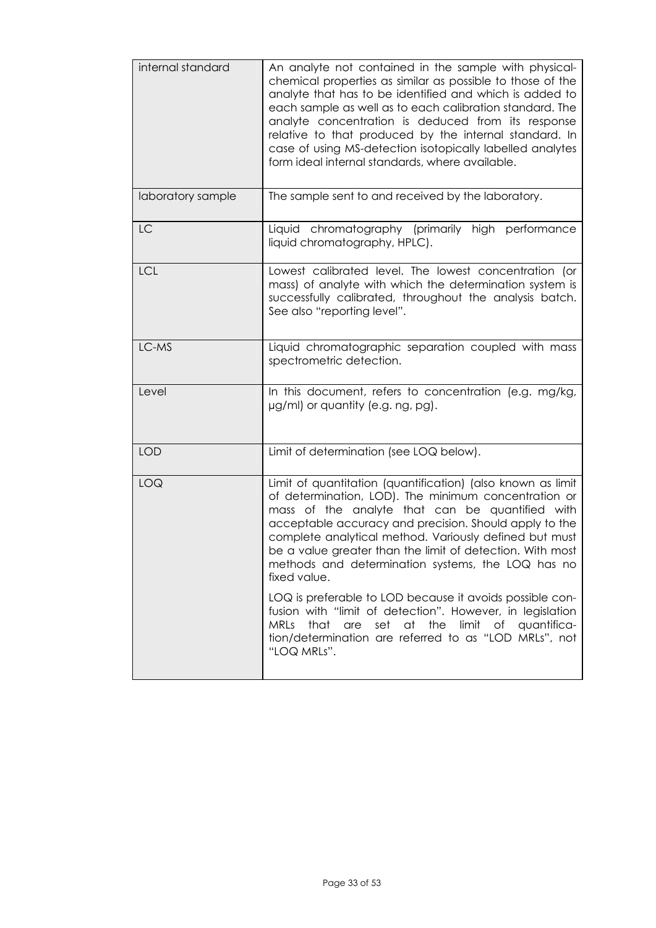| internal standard | An analyte not contained in the sample with physical-<br>chemical properties as similar as possible to those of the<br>analyte that has to be identified and which is added to<br>each sample as well as to each calibration standard. The<br>analyte concentration is deduced from its response<br>relative to that produced by the internal standard. In<br>case of using MS-detection isotopically labelled analytes<br>form ideal internal standards, where available.                                                                                                                                                                                                                     |
|-------------------|------------------------------------------------------------------------------------------------------------------------------------------------------------------------------------------------------------------------------------------------------------------------------------------------------------------------------------------------------------------------------------------------------------------------------------------------------------------------------------------------------------------------------------------------------------------------------------------------------------------------------------------------------------------------------------------------|
| laboratory sample | The sample sent to and received by the laboratory.                                                                                                                                                                                                                                                                                                                                                                                                                                                                                                                                                                                                                                             |
| LC                | Liquid chromatography (primarily high performance<br>liquid chromatography, HPLC).                                                                                                                                                                                                                                                                                                                                                                                                                                                                                                                                                                                                             |
| <b>LCL</b>        | Lowest calibrated level. The lowest concentration (or<br>mass) of analyte with which the determination system is<br>successfully calibrated, throughout the analysis batch.<br>See also "reporting level".                                                                                                                                                                                                                                                                                                                                                                                                                                                                                     |
| LC-MS             | Liquid chromatographic separation coupled with mass<br>spectrometric detection.                                                                                                                                                                                                                                                                                                                                                                                                                                                                                                                                                                                                                |
| Level             | In this document, refers to concentration (e.g. mg/kg,<br>µg/ml) or quantity (e.g. ng, pg).                                                                                                                                                                                                                                                                                                                                                                                                                                                                                                                                                                                                    |
| <b>LOD</b>        | Limit of determination (see LOQ below).                                                                                                                                                                                                                                                                                                                                                                                                                                                                                                                                                                                                                                                        |
| <b>LOQ</b>        | Limit of quantitation (quantification) (also known as limit<br>of determination, LOD). The minimum concentration or<br>mass of the analyte that can be quantified with<br>acceptable accuracy and precision. Should apply to the<br>complete analytical method. Variously defined but must<br>be a value greater than the limit of detection. With most<br>methods and determination systems, the LOQ has no<br>fixed value.<br>LOQ is preferable to LOD because it avoids possible con-<br>fusion with "limit of detection". However, in legislation<br>that<br>set at the limit of quantifica-<br><b>MRLs</b><br>are<br>tion/determination are referred to as "LOD MRLs", not<br>"LOQ MRLs". |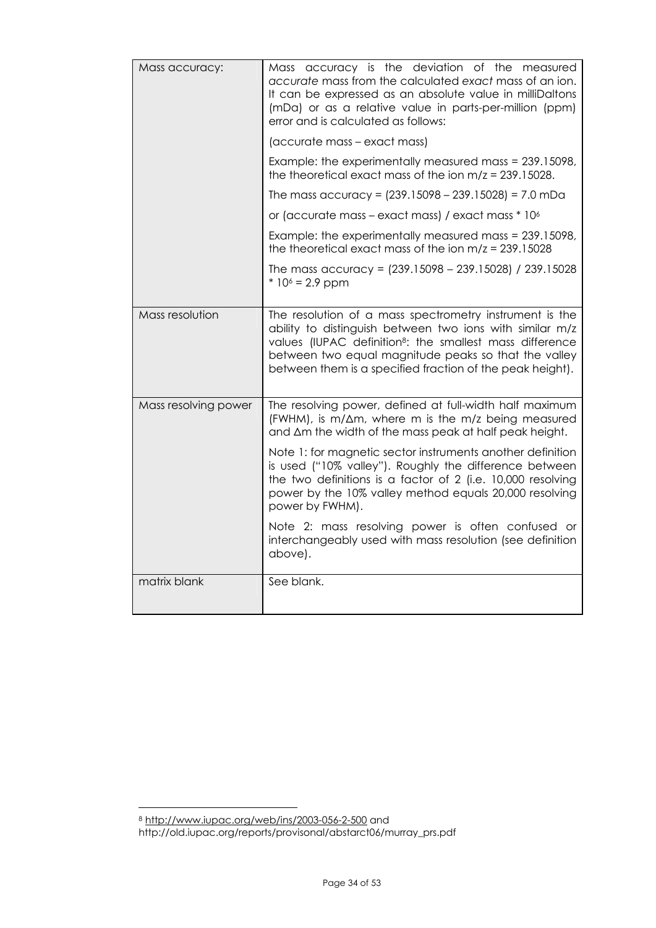| Mass accuracy:       | Mass accuracy is the deviation of the measured<br>accurate mass from the calculated exact mass of an ion.<br>It can be expressed as an absolute value in milliDaltons<br>(mDa) or as a relative value in parts-per-million (ppm)<br>error and is calculated as follows:                                          |
|----------------------|------------------------------------------------------------------------------------------------------------------------------------------------------------------------------------------------------------------------------------------------------------------------------------------------------------------|
|                      | (accurate mass – exact mass)                                                                                                                                                                                                                                                                                     |
|                      | Example: the experimentally measured mass = 239.15098,<br>the theoretical exact mass of the ion $m/z = 239.15028$ .                                                                                                                                                                                              |
|                      | The mass accuracy = $(239.15098 - 239.15028) = 7.0$ mDa                                                                                                                                                                                                                                                          |
|                      | or (accurate mass - exact mass) / exact mass * 10 <sup>6</sup>                                                                                                                                                                                                                                                   |
|                      | Example: the experimentally measured mass = 239.15098,<br>the theoretical exact mass of the ion $m/z = 239.15028$                                                                                                                                                                                                |
|                      | The mass accuracy = (239.15098 - 239.15028) / 239.15028<br>$*106 = 2.9$ ppm                                                                                                                                                                                                                                      |
| Mass resolution      | The resolution of a mass spectrometry instrument is the<br>ability to distinguish between two ions with similar m/z<br>values (IUPAC definition <sup>8</sup> : the smallest mass difference<br>between two equal magnitude peaks so that the valley<br>between them is a specified fraction of the peak height). |
| Mass resolving power | The resolving power, defined at full-width half maximum<br>(FWHM), is m/∆m, where m is the m/z being measured<br>and Am the width of the mass peak at half peak height.                                                                                                                                          |
|                      | Note 1: for magnetic sector instruments another definition<br>is used ("10% valley"). Roughly the difference between<br>the two definitions is a factor of 2 (i.e. 10,000 resolving<br>power by the 10% valley method equals 20,000 resolving<br>power by FWHM).                                                 |
|                      | Note 2: mass resolving power is often confused or<br>interchangeably used with mass resolution (see definition<br>above).                                                                                                                                                                                        |
| matrix blank         | See blank.                                                                                                                                                                                                                                                                                                       |

1

<sup>8</sup> http://www.iupac.org/web/ins/2003-056-2-500 and

http://old.iupac.org/reports/provisonal/abstarct06/murray\_prs.pdf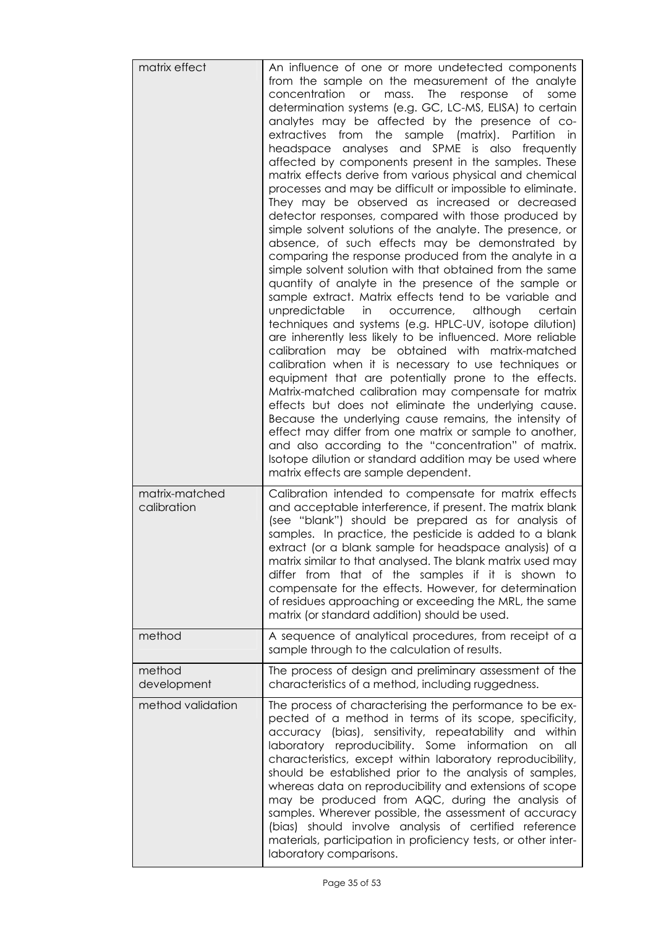| matrix effect                 | An influence of one or more undetected components<br>from the sample on the measurement of the analyte<br>concentration<br>The<br>or<br>mass.<br>response<br>of<br>some<br>determination systems (e.g. GC, LC-MS, ELISA) to certain<br>analytes may be affected by the presence of co-<br>extractives from the sample (matrix). Partition in<br>headspace analyses and SPME is also frequently<br>affected by components present in the samples. These<br>matrix effects derive from various physical and chemical<br>processes and may be difficult or impossible to eliminate.<br>They may be observed as increased or decreased<br>detector responses, compared with those produced by<br>simple solvent solutions of the analyte. The presence, or<br>absence, of such effects may be demonstrated by<br>comparing the response produced from the analyte in a<br>simple solvent solution with that obtained from the same<br>quantity of analyte in the presence of the sample or<br>sample extract. Matrix effects tend to be variable and<br>occurrence, although<br>unpredictable<br>in<br>certain<br>techniques and systems (e.g. HPLC-UV, isotope dilution)<br>are inherently less likely to be influenced. More reliable<br>calibration may be obtained with matrix-matched<br>calibration when it is necessary to use techniques or<br>equipment that are potentially prone to the effects.<br>Matrix-matched calibration may compensate for matrix<br>effects but does not eliminate the underlying cause.<br>Because the underlying cause remains, the intensity of<br>effect may differ from one matrix or sample to another,<br>and also according to the "concentration" of matrix.<br>Isotope dilution or standard addition may be used where<br>matrix effects are sample dependent. |
|-------------------------------|---------------------------------------------------------------------------------------------------------------------------------------------------------------------------------------------------------------------------------------------------------------------------------------------------------------------------------------------------------------------------------------------------------------------------------------------------------------------------------------------------------------------------------------------------------------------------------------------------------------------------------------------------------------------------------------------------------------------------------------------------------------------------------------------------------------------------------------------------------------------------------------------------------------------------------------------------------------------------------------------------------------------------------------------------------------------------------------------------------------------------------------------------------------------------------------------------------------------------------------------------------------------------------------------------------------------------------------------------------------------------------------------------------------------------------------------------------------------------------------------------------------------------------------------------------------------------------------------------------------------------------------------------------------------------------------------------------------------------------------------------------------------------------------------------------|
| matrix-matched<br>calibration | Calibration intended to compensate for matrix effects<br>and acceptable interference, if present. The matrix blank<br>(see "blank") should be prepared as for analysis of<br>samples. In practice, the pesticide is added to a blank<br>extract (or a blank sample for headspace analysis) of a<br>matrix similar to that analysed. The blank matrix used may<br>differ from that of the samples if it is shown to<br>compensate for the effects. However, for determination<br>of residues approaching or exceeding the MRL, the same<br>matrix (or standard addition) should be used.                                                                                                                                                                                                                                                                                                                                                                                                                                                                                                                                                                                                                                                                                                                                                                                                                                                                                                                                                                                                                                                                                                                                                                                                                 |
| method                        | A sequence of analytical procedures, from receipt of a<br>sample through to the calculation of results.                                                                                                                                                                                                                                                                                                                                                                                                                                                                                                                                                                                                                                                                                                                                                                                                                                                                                                                                                                                                                                                                                                                                                                                                                                                                                                                                                                                                                                                                                                                                                                                                                                                                                                 |
| method<br>development         | The process of design and preliminary assessment of the<br>characteristics of a method, including ruggedness.                                                                                                                                                                                                                                                                                                                                                                                                                                                                                                                                                                                                                                                                                                                                                                                                                                                                                                                                                                                                                                                                                                                                                                                                                                                                                                                                                                                                                                                                                                                                                                                                                                                                                           |
| method validation             | The process of characterising the performance to be ex-<br>pected of a method in terms of its scope, specificity,<br>accuracy (bias), sensitivity, repeatability and within<br>laboratory reproducibility. Some information<br>on<br>all<br>characteristics, except within laboratory reproducibility,<br>should be established prior to the analysis of samples,<br>whereas data on reproducibility and extensions of scope<br>may be produced from AQC, during the analysis of<br>samples. Wherever possible, the assessment of accuracy<br>(bias) should involve analysis of certified reference<br>materials, participation in proficiency tests, or other inter-<br>laboratory comparisons.                                                                                                                                                                                                                                                                                                                                                                                                                                                                                                                                                                                                                                                                                                                                                                                                                                                                                                                                                                                                                                                                                                        |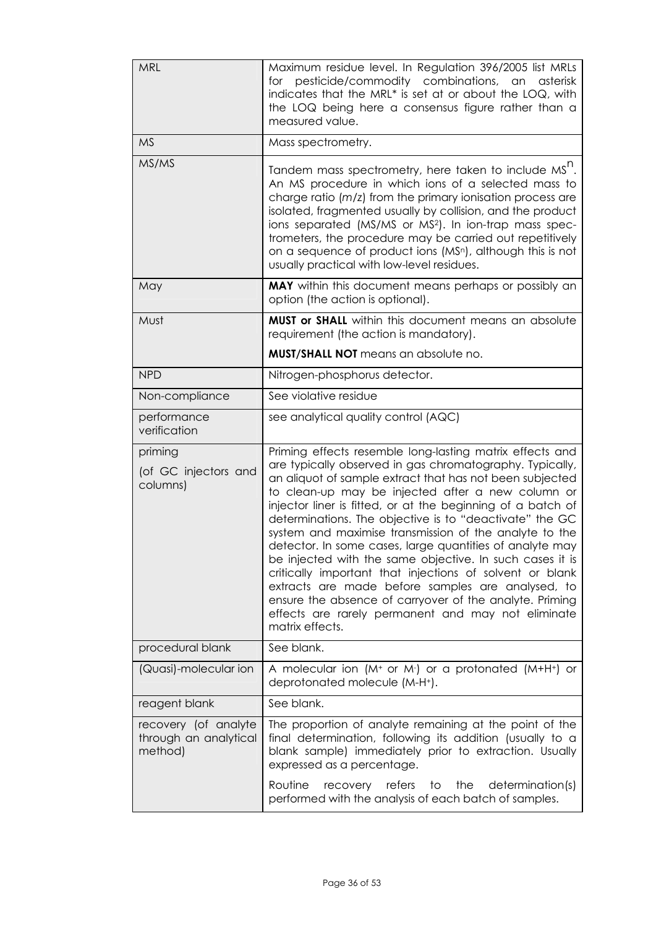| <b>MRL</b>                                               | Maximum residue level. In Regulation 396/2005 list MRLs<br>pesticide/commodity combinations, an<br>for<br>asterisk<br>indicates that the MRL <sup>*</sup> is set at or about the LOQ, with<br>the LOQ being here a consensus figure rather than a<br>measured value.                                                                                                                                                                                                                                                                                                                                                                                                                                                                                                                                   |
|----------------------------------------------------------|--------------------------------------------------------------------------------------------------------------------------------------------------------------------------------------------------------------------------------------------------------------------------------------------------------------------------------------------------------------------------------------------------------------------------------------------------------------------------------------------------------------------------------------------------------------------------------------------------------------------------------------------------------------------------------------------------------------------------------------------------------------------------------------------------------|
| <b>MS</b>                                                | Mass spectrometry.                                                                                                                                                                                                                                                                                                                                                                                                                                                                                                                                                                                                                                                                                                                                                                                     |
| MS/MS                                                    | Tandem mass spectrometry, here taken to include $\textsf{MS}^\textsf{n}.$<br>An MS procedure in which ions of a selected mass to<br>charge ratio $(m/z)$ from the primary ionisation process are<br>isolated, fragmented usually by collision, and the product<br>ions separated (MS/MS or MS <sup>2</sup> ). In ion-trap mass spec-<br>trometers, the procedure may be carried out repetitively<br>on a sequence of product ions (MSn), although this is not<br>usually practical with low-level residues.                                                                                                                                                                                                                                                                                            |
| May                                                      | MAY within this document means perhaps or possibly an<br>option (the action is optional).                                                                                                                                                                                                                                                                                                                                                                                                                                                                                                                                                                                                                                                                                                              |
| Must                                                     | <b>MUST or SHALL</b> within this document means an absolute<br>requirement (the action is mandatory).                                                                                                                                                                                                                                                                                                                                                                                                                                                                                                                                                                                                                                                                                                  |
|                                                          | MUST/SHALL NOT means an absolute no.                                                                                                                                                                                                                                                                                                                                                                                                                                                                                                                                                                                                                                                                                                                                                                   |
| <b>NPD</b>                                               | Nitrogen-phosphorus detector.                                                                                                                                                                                                                                                                                                                                                                                                                                                                                                                                                                                                                                                                                                                                                                          |
| Non-compliance                                           | See violative residue                                                                                                                                                                                                                                                                                                                                                                                                                                                                                                                                                                                                                                                                                                                                                                                  |
| performance<br>verification                              | see analytical quality control (AQC)                                                                                                                                                                                                                                                                                                                                                                                                                                                                                                                                                                                                                                                                                                                                                                   |
| priming<br>(of GC injectors and<br>columns)              | Priming effects resemble long-lasting matrix effects and<br>are typically observed in gas chromatography. Typically,<br>an aliquot of sample extract that has not been subjected<br>to clean-up may be injected after a new column or<br>injector liner is fitted, or at the beginning of a batch of<br>determinations. The objective is to "deactivate" the GC<br>system and maximise transmission of the analyte to the<br>detector. In some cases, large quantities of analyte may<br>be injected with the same objective. In such cases it is<br>critically important that injections of solvent or blank<br>extracts are made before samples are analysed, to<br>ensure the absence of carryover of the analyte. Priming<br>effects are rarely permanent and may not eliminate<br>matrix effects. |
| procedural blank                                         | See blank.                                                                                                                                                                                                                                                                                                                                                                                                                                                                                                                                                                                                                                                                                                                                                                                             |
| (Quasi)-molecular ion                                    | A molecular ion $(M+$ or M $)$ or a protonated $(M+H+)$ or<br>deprotonated molecule (M-H+).                                                                                                                                                                                                                                                                                                                                                                                                                                                                                                                                                                                                                                                                                                            |
| reagent blank                                            | See blank.                                                                                                                                                                                                                                                                                                                                                                                                                                                                                                                                                                                                                                                                                                                                                                                             |
| recovery (of analyte<br>through an analytical<br>method) | The proportion of analyte remaining at the point of the<br>final determination, following its addition (usually to a<br>blank sample) immediately prior to extraction. Usually<br>expressed as a percentage.                                                                                                                                                                                                                                                                                                                                                                                                                                                                                                                                                                                           |
|                                                          | Routine<br>refers<br>to<br>the<br>determination(s)<br>recovery<br>performed with the analysis of each batch of samples.                                                                                                                                                                                                                                                                                                                                                                                                                                                                                                                                                                                                                                                                                |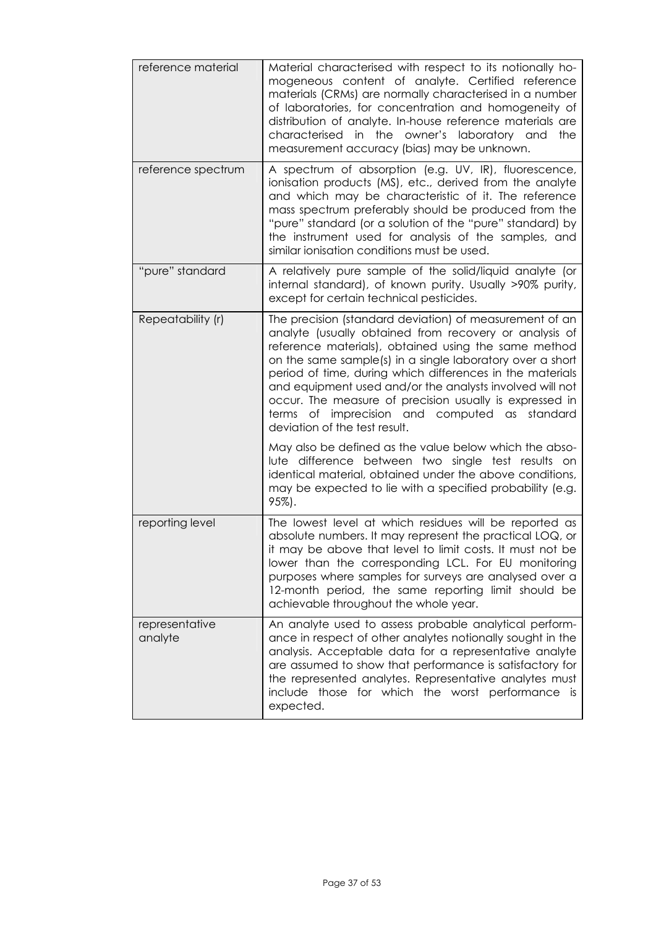| reference material        | Material characterised with respect to its notionally ho-<br>mogeneous content of analyte. Certified reference<br>materials (CRMs) are normally characterised in a number<br>of laboratories, for concentration and homogeneity of<br>distribution of analyte. In-house reference materials are<br>characterised in the owner's laboratory and<br>the<br>measurement accuracy (bias) may be unknown.                                                                                                         |
|---------------------------|--------------------------------------------------------------------------------------------------------------------------------------------------------------------------------------------------------------------------------------------------------------------------------------------------------------------------------------------------------------------------------------------------------------------------------------------------------------------------------------------------------------|
| reference spectrum        | A spectrum of absorption (e.g. UV, IR), fluorescence,<br>ionisation products (MS), etc., derived from the analyte<br>and which may be characteristic of it. The reference<br>mass spectrum preferably should be produced from the<br>"pure" standard (or a solution of the "pure" standard) by<br>the instrument used for analysis of the samples, and<br>similar ionisation conditions must be used.                                                                                                        |
| "pure" standard           | A relatively pure sample of the solid/liquid analyte (or<br>internal standard), of known purity. Usually >90% purity,<br>except for certain technical pesticides.                                                                                                                                                                                                                                                                                                                                            |
| Repeatability (r)         | The precision (standard deviation) of measurement of an<br>analyte (usually obtained from recovery or analysis of<br>reference materials), obtained using the same method<br>on the same sample(s) in a single laboratory over a short<br>period of time, during which differences in the materials<br>and equipment used and/or the analysts involved will not<br>occur. The measure of precision usually is expressed in<br>terms of imprecision and computed as standard<br>deviation of the test result. |
|                           | May also be defined as the value below which the abso-<br>lute difference between two single test results on<br>identical material, obtained under the above conditions,<br>may be expected to lie with a specified probability (e.g.<br>95%).                                                                                                                                                                                                                                                               |
| reporting level           | The lowest level at which residues will be reported as<br>absolute numbers. It may represent the practical LOQ, or<br>it may be above that level to limit costs. It must not be<br>lower than the corresponding LCL. For EU monitoring<br>purposes where samples for surveys are analysed over a<br>12-month period, the same reporting limit should be<br>achievable throughout the whole year.                                                                                                             |
| representative<br>analyte | An analyte used to assess probable analytical perform-<br>ance in respect of other analytes notionally sought in the<br>analysis. Acceptable data for a representative analyte<br>are assumed to show that performance is satisfactory for<br>the represented analytes. Representative analytes must<br>include those for which the worst performance is<br>expected.                                                                                                                                        |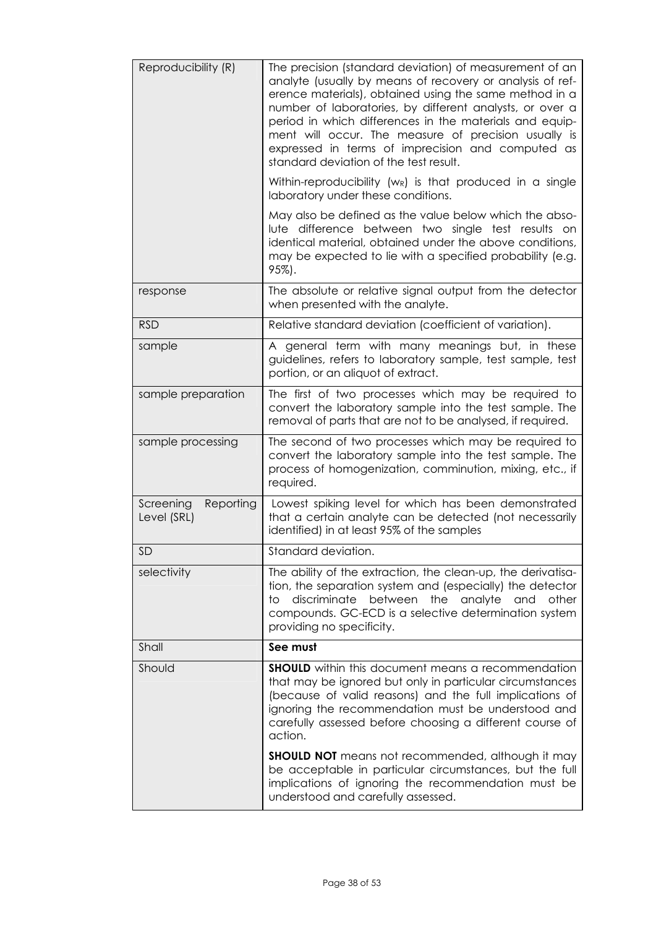| Reproducibility (R)                   | The precision (standard deviation) of measurement of an<br>analyte (usually by means of recovery or analysis of ref-<br>erence materials), obtained using the same method in a<br>number of laboratories, by different analysts, or over a<br>period in which differences in the materials and equip-<br>ment will occur. The measure of precision usually is<br>expressed in terms of imprecision and computed as<br>standard deviation of the test result. |
|---------------------------------------|--------------------------------------------------------------------------------------------------------------------------------------------------------------------------------------------------------------------------------------------------------------------------------------------------------------------------------------------------------------------------------------------------------------------------------------------------------------|
|                                       | Within-reproducibility ( $w_R$ ) is that produced in a single<br>laboratory under these conditions.                                                                                                                                                                                                                                                                                                                                                          |
|                                       | May also be defined as the value below which the abso-<br>lute difference between two single test results on<br>identical material, obtained under the above conditions,<br>may be expected to lie with a specified probability (e.g.<br>95%).                                                                                                                                                                                                               |
| response                              | The absolute or relative signal output from the detector<br>when presented with the analyte.                                                                                                                                                                                                                                                                                                                                                                 |
| <b>RSD</b>                            | Relative standard deviation (coefficient of variation).                                                                                                                                                                                                                                                                                                                                                                                                      |
| sample                                | A general term with many meanings but, in these<br>guidelines, refers to laboratory sample, test sample, test<br>portion, or an aliquot of extract.                                                                                                                                                                                                                                                                                                          |
| sample preparation                    | The first of two processes which may be required to<br>convert the laboratory sample into the test sample. The<br>removal of parts that are not to be analysed, if required.                                                                                                                                                                                                                                                                                 |
| sample processing                     | The second of two processes which may be required to<br>convert the laboratory sample into the test sample. The<br>process of homogenization, comminution, mixing, etc., if<br>required.                                                                                                                                                                                                                                                                     |
| Screening<br>Reporting<br>Level (SRL) | Lowest spiking level for which has been demonstrated<br>that a certain analyte can be detected (not necessarily<br>identified) in at least 95% of the samples                                                                                                                                                                                                                                                                                                |
| <b>SD</b>                             | Standard deviation.                                                                                                                                                                                                                                                                                                                                                                                                                                          |
| selectivity                           | The ability of the extraction, the clean-up, the derivatisa-<br>tion, the separation system and (especially) the detector<br>discriminate between the analyte<br>and<br>other<br>to<br>compounds. GC-ECD is a selective determination system<br>providing no specificity.                                                                                                                                                                                    |
| Shall                                 | See must                                                                                                                                                                                                                                                                                                                                                                                                                                                     |
| Should                                | <b>SHOULD</b> within this document means a recommendation<br>that may be ignored but only in particular circumstances<br>(because of valid reasons) and the full implications of<br>ignoring the recommendation must be understood and<br>carefully assessed before choosing a different course of<br>action.                                                                                                                                                |
|                                       | <b>SHOULD NOT</b> means not recommended, although it may<br>be acceptable in particular circumstances, but the full<br>implications of ignoring the recommendation must be<br>understood and carefully assessed.                                                                                                                                                                                                                                             |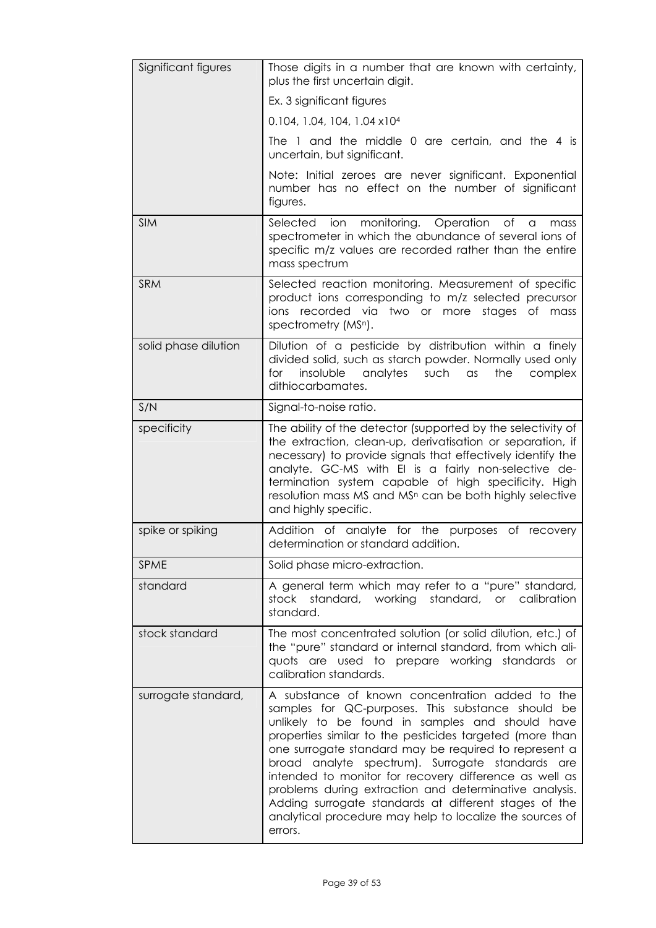| Significant figures  | Those digits in a number that are known with certainty,<br>plus the first uncertain digit.                                                                                                                                                                                                                                                                                                                                                                                                                                                                                           |
|----------------------|--------------------------------------------------------------------------------------------------------------------------------------------------------------------------------------------------------------------------------------------------------------------------------------------------------------------------------------------------------------------------------------------------------------------------------------------------------------------------------------------------------------------------------------------------------------------------------------|
|                      | Ex. 3 significant figures                                                                                                                                                                                                                                                                                                                                                                                                                                                                                                                                                            |
|                      | 0.104, 1.04, 104, 1.04 x10 <sup>4</sup>                                                                                                                                                                                                                                                                                                                                                                                                                                                                                                                                              |
|                      | The 1 and the middle 0 are certain, and the 4 is<br>uncertain, but significant.                                                                                                                                                                                                                                                                                                                                                                                                                                                                                                      |
|                      | Note: Initial zeroes are never significant. Exponential<br>number has no effect on the number of significant<br>figures.                                                                                                                                                                                                                                                                                                                                                                                                                                                             |
| <b>SIM</b>           | monitoring. Operation<br>of<br>Selected<br>ion<br>a<br>mass<br>spectrometer in which the abundance of several ions of<br>specific m/z values are recorded rather than the entire<br>mass spectrum                                                                                                                                                                                                                                                                                                                                                                                    |
| <b>SRM</b>           | Selected reaction monitoring. Measurement of specific<br>product ions corresponding to m/z selected precursor<br>ions recorded via two or more stages<br>of mass<br>spectrometry (MSn).                                                                                                                                                                                                                                                                                                                                                                                              |
| solid phase dilution | Dilution of a pesticide by distribution within a finely<br>divided solid, such as starch powder. Normally used only<br>analytes<br>insoluble<br>such<br>the<br>for<br>$\alpha$ s<br>complex<br>dithiocarbamates.                                                                                                                                                                                                                                                                                                                                                                     |
| S/N                  | Signal-to-noise ratio.                                                                                                                                                                                                                                                                                                                                                                                                                                                                                                                                                               |
| specificity          | The ability of the detector (supported by the selectivity of<br>the extraction, clean-up, derivatisation or separation, if<br>necessary) to provide signals that effectively identify the<br>analyte. GC-MS with El is a fairly non-selective de-<br>termination system capable of high specificity. High<br>resolution mass MS and MSn can be both highly selective<br>and highly specific.                                                                                                                                                                                         |
| spike or spiking     | Addition of analyte for the purposes of recovery<br>determination or standard addition.                                                                                                                                                                                                                                                                                                                                                                                                                                                                                              |
| SPME                 | Solid phase micro-extraction.                                                                                                                                                                                                                                                                                                                                                                                                                                                                                                                                                        |
| standard             | A general term which may refer to a "pure" standard,<br>stock standard, working standard, or calibration<br>standard.                                                                                                                                                                                                                                                                                                                                                                                                                                                                |
| stock standard       | The most concentrated solution (or solid dilution, etc.) of<br>the "pure" standard or internal standard, from which ali-<br>quots are used to prepare working standards or<br>calibration standards.                                                                                                                                                                                                                                                                                                                                                                                 |
| surrogate standard,  | A substance of known concentration added to the<br>samples for QC-purposes. This substance should be<br>unlikely to be found in samples and should have<br>properties similar to the pesticides targeted (more than<br>one surrogate standard may be required to represent a<br>broad analyte spectrum). Surrogate standards are<br>intended to monitor for recovery difference as well as<br>problems during extraction and determinative analysis.<br>Adding surrogate standards at different stages of the<br>analytical procedure may help to localize the sources of<br>errors. |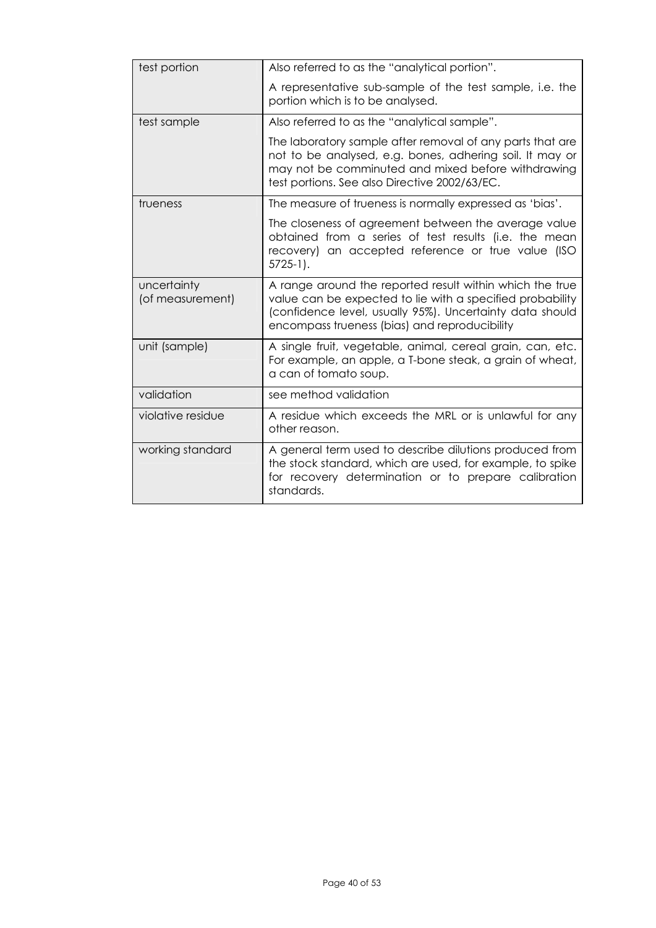| test portion                    | Also referred to as the "analytical portion".                                                                                                                                                                                      |
|---------------------------------|------------------------------------------------------------------------------------------------------------------------------------------------------------------------------------------------------------------------------------|
|                                 | A representative sub-sample of the test sample, i.e. the<br>portion which is to be analysed.                                                                                                                                       |
| test sample                     | Also referred to as the "analytical sample".                                                                                                                                                                                       |
|                                 | The laboratory sample after removal of any parts that are<br>not to be analysed, e.g. bones, adhering soil. It may or<br>may not be comminuted and mixed before withdrawing<br>test portions. See also Directive 2002/63/EC.       |
| trueness                        | The measure of trueness is normally expressed as 'bias'.                                                                                                                                                                           |
|                                 | The closeness of agreement between the average value<br>obtained from a series of test results (i.e. the mean<br>recovery) an accepted reference or true value (ISO<br>$5725 - 1$ .                                                |
| uncertainty<br>(of measurement) | A range around the reported result within which the true<br>value can be expected to lie with a specified probability<br>(confidence level, usually 95%). Uncertainty data should<br>encompass trueness (bias) and reproducibility |
| unit (sample)                   | A single fruit, vegetable, animal, cereal grain, can, etc.<br>For example, an apple, a T-bone steak, a grain of wheat,<br>a can of tomato soup.                                                                                    |
| validation                      | see method validation                                                                                                                                                                                                              |
| violative residue               | A residue which exceeds the MRL or is unlawful for any<br>other reason.                                                                                                                                                            |
| working standard                | A general term used to describe dilutions produced from<br>the stock standard, which are used, for example, to spike<br>for recovery determination or to prepare calibration<br>standards.                                         |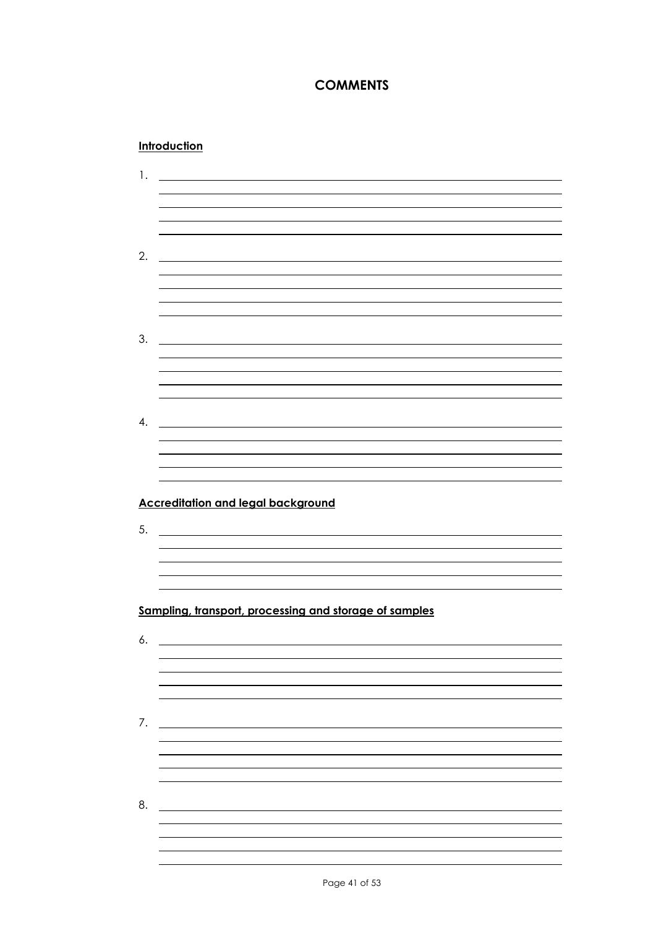# **COMMENTS**

#### **Introduction**

| 2. |                                                                                                                      |
|----|----------------------------------------------------------------------------------------------------------------------|
|    |                                                                                                                      |
|    |                                                                                                                      |
|    |                                                                                                                      |
|    |                                                                                                                      |
| 3. |                                                                                                                      |
|    |                                                                                                                      |
|    |                                                                                                                      |
|    |                                                                                                                      |
|    |                                                                                                                      |
|    |                                                                                                                      |
| 4. | <u> 1989 - Johann Barnett, fransk konge og det forske forskellige og det forske forskellige og det forskellige o</u> |
|    |                                                                                                                      |
|    |                                                                                                                      |
|    |                                                                                                                      |
|    |                                                                                                                      |
|    | <b>Accreditation and legal background</b>                                                                            |
|    |                                                                                                                      |
| 5. | <u> 1989 - John Stein, mars and de Brazilian (b. 1989)</u>                                                           |
|    |                                                                                                                      |
|    |                                                                                                                      |
|    |                                                                                                                      |
|    |                                                                                                                      |
|    |                                                                                                                      |
|    |                                                                                                                      |
|    | Sampling, transport, processing and storage of samples                                                               |
|    |                                                                                                                      |
| 6. |                                                                                                                      |
|    |                                                                                                                      |
|    |                                                                                                                      |
|    |                                                                                                                      |
|    |                                                                                                                      |
|    |                                                                                                                      |
| 7. |                                                                                                                      |
|    |                                                                                                                      |
|    |                                                                                                                      |
|    |                                                                                                                      |
|    |                                                                                                                      |
| 8. |                                                                                                                      |
|    |                                                                                                                      |
|    |                                                                                                                      |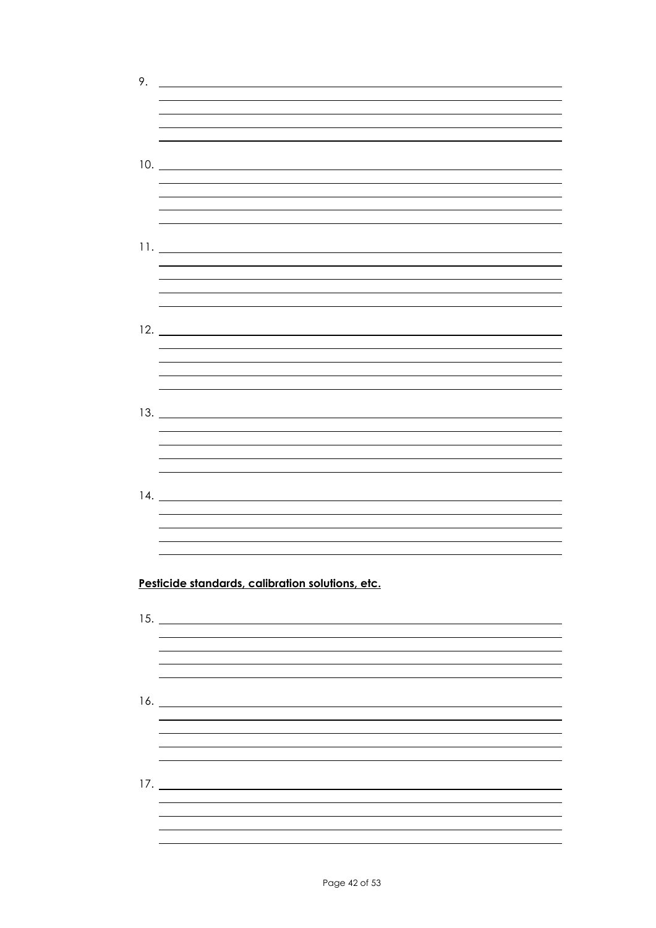| 9. |                                                                                                                                                                                                                                     |
|----|-------------------------------------------------------------------------------------------------------------------------------------------------------------------------------------------------------------------------------------|
|    |                                                                                                                                                                                                                                     |
|    |                                                                                                                                                                                                                                     |
|    | $10.$ $\overline{\phantom{a}}$                                                                                                                                                                                                      |
|    |                                                                                                                                                                                                                                     |
|    |                                                                                                                                                                                                                                     |
|    |                                                                                                                                                                                                                                     |
|    | $11.$ <u>The contract of the contract of the contract of the contract of the contract of the contract of the contract of the contract of the contract of the contract of the contract of the contract of the contract of the co</u> |
|    |                                                                                                                                                                                                                                     |
|    |                                                                                                                                                                                                                                     |
|    | 12.                                                                                                                                                                                                                                 |
|    |                                                                                                                                                                                                                                     |
|    |                                                                                                                                                                                                                                     |
|    |                                                                                                                                                                                                                                     |
|    |                                                                                                                                                                                                                                     |
|    |                                                                                                                                                                                                                                     |
|    |                                                                                                                                                                                                                                     |
|    |                                                                                                                                                                                                                                     |
|    |                                                                                                                                                                                                                                     |
|    |                                                                                                                                                                                                                                     |
|    |                                                                                                                                                                                                                                     |
|    | Pesticide standards, calibration solutions, etc.                                                                                                                                                                                    |
|    |                                                                                                                                                                                                                                     |
|    |                                                                                                                                                                                                                                     |
|    | ,我们也不会有什么。""我们的人,我们也不会有什么?""我们的人,我们也不会有什么?""我们的人,我们也不会有什么?""我们的人,我们也不会有什么?""我们的人                                                                                                                                                    |
|    | ,我们也不会有什么。""我们的人,我们也不会有什么?""我们的人,我们也不会有什么?""我们的人,我们也不会有什么?""我们的人,我们也不会有什么?""我们的人                                                                                                                                                    |
|    |                                                                                                                                                                                                                                     |
|    |                                                                                                                                                                                                                                     |
|    |                                                                                                                                                                                                                                     |
|    | $17. \_$                                                                                                                                                                                                                            |
|    |                                                                                                                                                                                                                                     |
|    |                                                                                                                                                                                                                                     |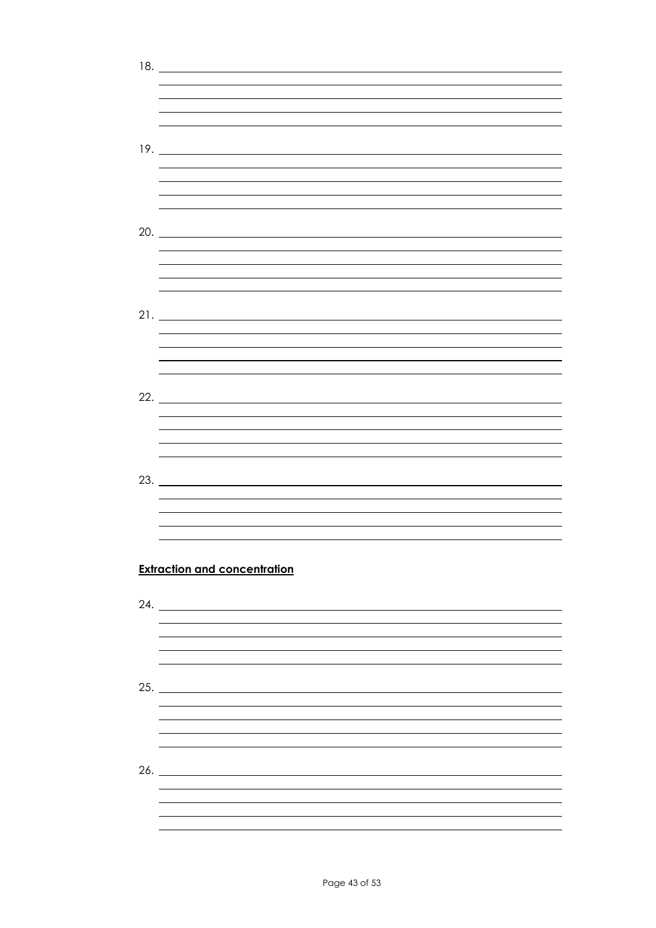| 18.                                                                                                                   |
|-----------------------------------------------------------------------------------------------------------------------|
|                                                                                                                       |
|                                                                                                                       |
| ,我们也不会有什么。""我们的人,我们也不会有什么?""我们的人,我们也不会有什么?""我们的人,我们也不会有什么?""我们的人,我们也不会有什么?""我们的人                                      |
|                                                                                                                       |
|                                                                                                                       |
|                                                                                                                       |
|                                                                                                                       |
|                                                                                                                       |
|                                                                                                                       |
|                                                                                                                       |
|                                                                                                                       |
| 20.                                                                                                                   |
| ,我们也不会有什么。""我们的人,我们也不会有什么?""我们的人,我们也不会有什么?""我们的人,我们也不会有什么?""我们的人,我们也不会有什么?""我们的人                                      |
| ,我们也不会有什么。""我们的人,我们也不会有什么?""我们的人,我们也不会有什么?""我们的人,我们也不会有什么?""我们的人,我们也不会有什么?""我们的人                                      |
| ,我们也不会有什么。""我们的人,我们也不会有什么?""我们的人,我们也不会有什么?""我们的人,我们也不会有什么?""我们的人,我们也不会有什么?""我们的人                                      |
|                                                                                                                       |
|                                                                                                                       |
|                                                                                                                       |
|                                                                                                                       |
|                                                                                                                       |
|                                                                                                                       |
|                                                                                                                       |
|                                                                                                                       |
| $22.$ $\overline{\phantom{a}}$                                                                                        |
| <u> 1989 - Johann Stoff, deutscher Stoff, der Stoff, der Stoff, der Stoff, der Stoff, der Stoff, der Stoff, der S</u> |
| <u> 1989 - Andrea Andrew Maria (h. 1989).</u>                                                                         |
| ,我们也不会有什么。""我们的人,我们也不会有什么?""我们的人,我们也不会有什么?""我们的人,我们也不会有什么?""我们的人,我们也不会有什么?""我们的人                                      |
|                                                                                                                       |
|                                                                                                                       |
| $23.$ $\overline{\phantom{a}}$                                                                                        |
|                                                                                                                       |
|                                                                                                                       |
|                                                                                                                       |
|                                                                                                                       |
|                                                                                                                       |
|                                                                                                                       |
| <b>Extraction and concentration</b>                                                                                   |
|                                                                                                                       |
|                                                                                                                       |
|                                                                                                                       |
|                                                                                                                       |
|                                                                                                                       |
|                                                                                                                       |
|                                                                                                                       |
| 25.                                                                                                                   |
|                                                                                                                       |
|                                                                                                                       |
|                                                                                                                       |
|                                                                                                                       |
|                                                                                                                       |
|                                                                                                                       |
|                                                                                                                       |
|                                                                                                                       |
|                                                                                                                       |
|                                                                                                                       |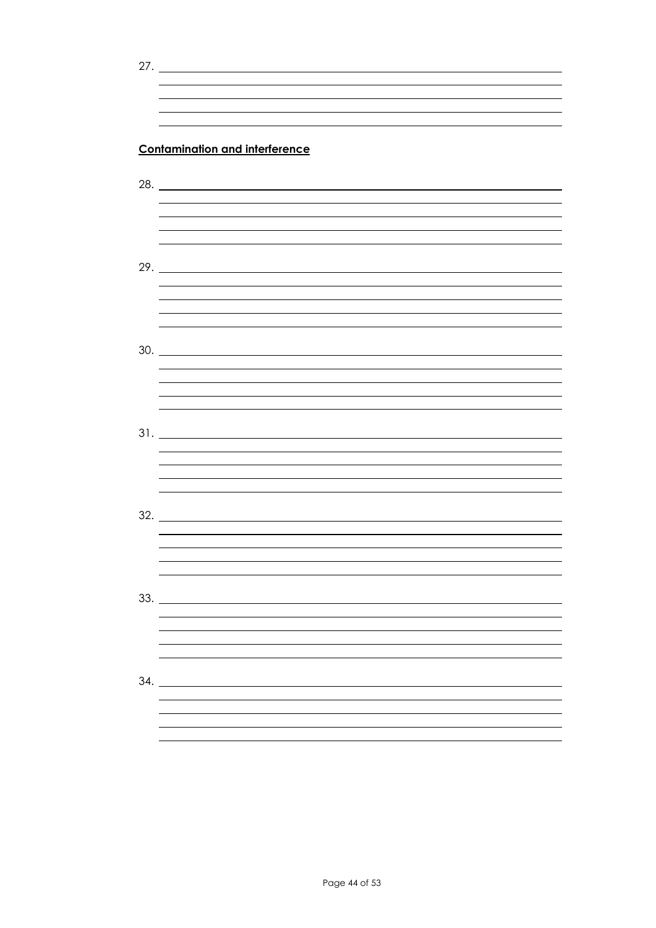27.

#### **Contamination and interference**

28. 29. 30. 31. and the control of the control of the control of the control of the control of the control of the control of the 32. 33. 34.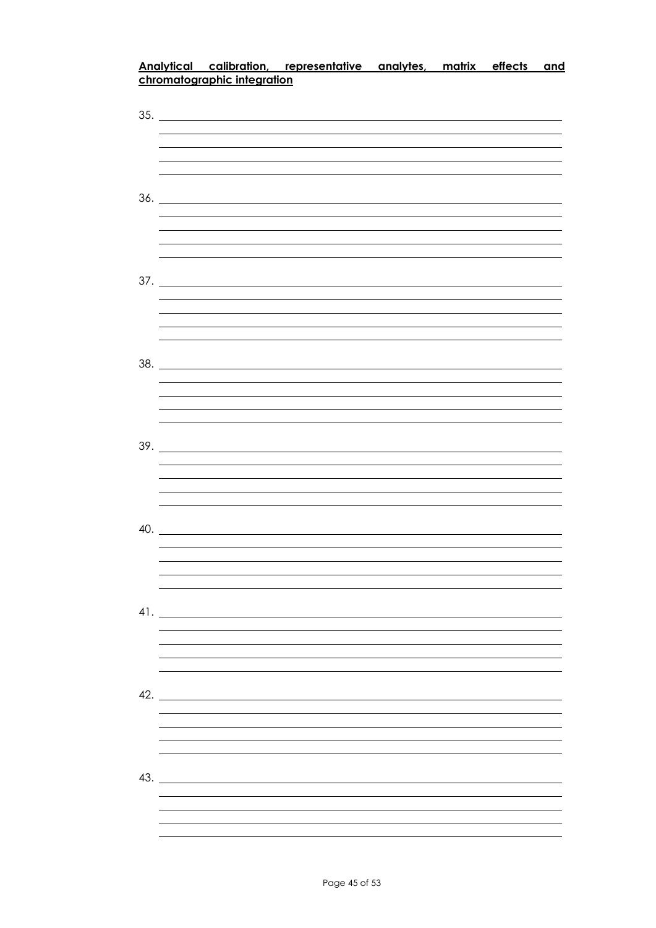**Analytical calibration, representative analytes, matrix effects and chromatographic integration**

35. 36. 37. 38. 39. 40. and the control of the control of the control of the control of the control of the control of the control of the 41. 42. 43.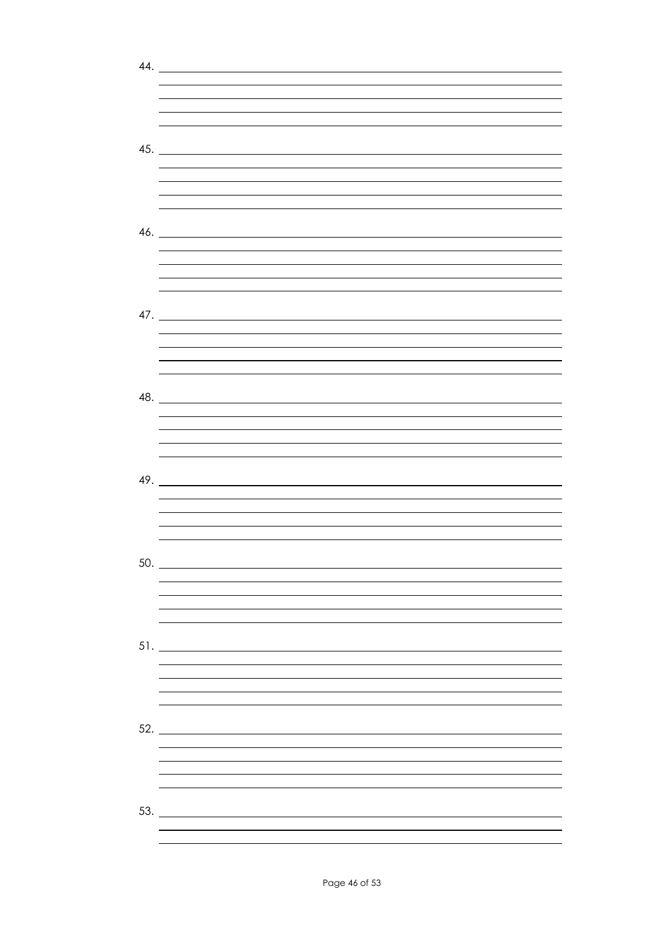| $45.$ $\overline{\phantom{1}}$                                |  |
|---------------------------------------------------------------|--|
|                                                               |  |
|                                                               |  |
|                                                               |  |
|                                                               |  |
|                                                               |  |
|                                                               |  |
| 46.                                                           |  |
|                                                               |  |
|                                                               |  |
|                                                               |  |
|                                                               |  |
|                                                               |  |
|                                                               |  |
| 47.                                                           |  |
|                                                               |  |
|                                                               |  |
|                                                               |  |
|                                                               |  |
|                                                               |  |
|                                                               |  |
|                                                               |  |
|                                                               |  |
|                                                               |  |
|                                                               |  |
|                                                               |  |
|                                                               |  |
|                                                               |  |
|                                                               |  |
|                                                               |  |
|                                                               |  |
|                                                               |  |
|                                                               |  |
|                                                               |  |
|                                                               |  |
| 50.                                                           |  |
|                                                               |  |
|                                                               |  |
|                                                               |  |
|                                                               |  |
|                                                               |  |
|                                                               |  |
| $51.$ $\overline{\phantom{a}}$                                |  |
|                                                               |  |
|                                                               |  |
|                                                               |  |
|                                                               |  |
|                                                               |  |
|                                                               |  |
|                                                               |  |
|                                                               |  |
|                                                               |  |
|                                                               |  |
|                                                               |  |
|                                                               |  |
|                                                               |  |
| 53.<br><u> 1980 - Jan Stein Bernstein, fransk kanton og f</u> |  |
|                                                               |  |
|                                                               |  |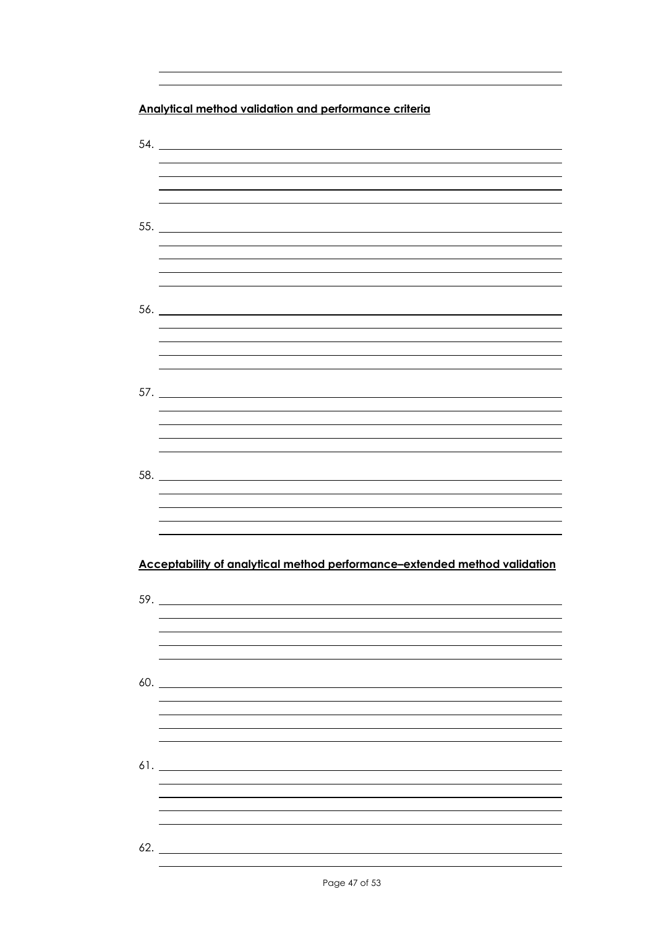# **Analytical method validation and performance criteria**

|     | 55.                                                                       |
|-----|---------------------------------------------------------------------------|
|     |                                                                           |
|     |                                                                           |
|     |                                                                           |
|     |                                                                           |
|     |                                                                           |
|     |                                                                           |
|     |                                                                           |
|     |                                                                           |
|     |                                                                           |
|     |                                                                           |
|     |                                                                           |
|     |                                                                           |
| 58. | <u> 1989 - Johann Stoff, amerikansk politiker (d. 1989)</u>               |
|     |                                                                           |
|     |                                                                           |
|     |                                                                           |
|     |                                                                           |
|     | Acceptability of analytical method performance-extended method validation |
|     |                                                                           |
|     |                                                                           |
|     |                                                                           |
|     |                                                                           |
|     |                                                                           |
|     |                                                                           |
|     |                                                                           |
|     |                                                                           |
|     |                                                                           |
|     |                                                                           |
|     |                                                                           |
|     |                                                                           |
|     |                                                                           |
|     |                                                                           |
|     |                                                                           |
|     |                                                                           |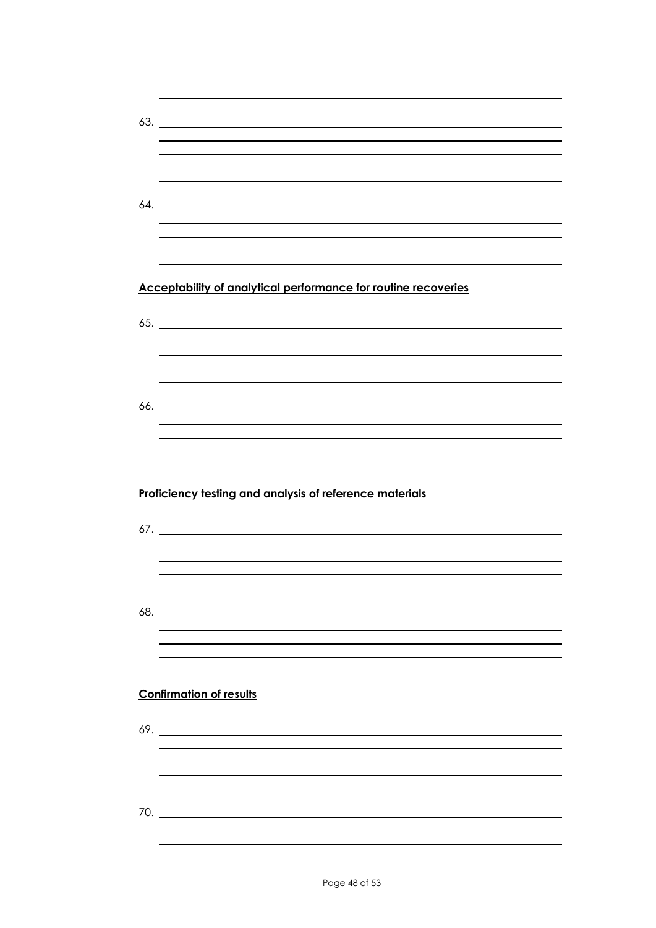| 63.                                                                   |
|-----------------------------------------------------------------------|
|                                                                       |
|                                                                       |
|                                                                       |
|                                                                       |
|                                                                       |
|                                                                       |
|                                                                       |
|                                                                       |
|                                                                       |
|                                                                       |
|                                                                       |
|                                                                       |
| <b>Acceptability of analytical performance for routine recoveries</b> |
|                                                                       |
|                                                                       |
|                                                                       |
|                                                                       |
|                                                                       |
|                                                                       |
|                                                                       |
|                                                                       |
| 66.                                                                   |
|                                                                       |
|                                                                       |
|                                                                       |
|                                                                       |
|                                                                       |
|                                                                       |
| Proficiency testing and analysis of reference materials               |
|                                                                       |
|                                                                       |
|                                                                       |
|                                                                       |
|                                                                       |
|                                                                       |
|                                                                       |
|                                                                       |
|                                                                       |
|                                                                       |
|                                                                       |
|                                                                       |
|                                                                       |
|                                                                       |
| <b>Confirmation of results</b>                                        |
|                                                                       |
|                                                                       |
| 69.                                                                   |
|                                                                       |
|                                                                       |
|                                                                       |
|                                                                       |
|                                                                       |
|                                                                       |
|                                                                       |
| 70.                                                                   |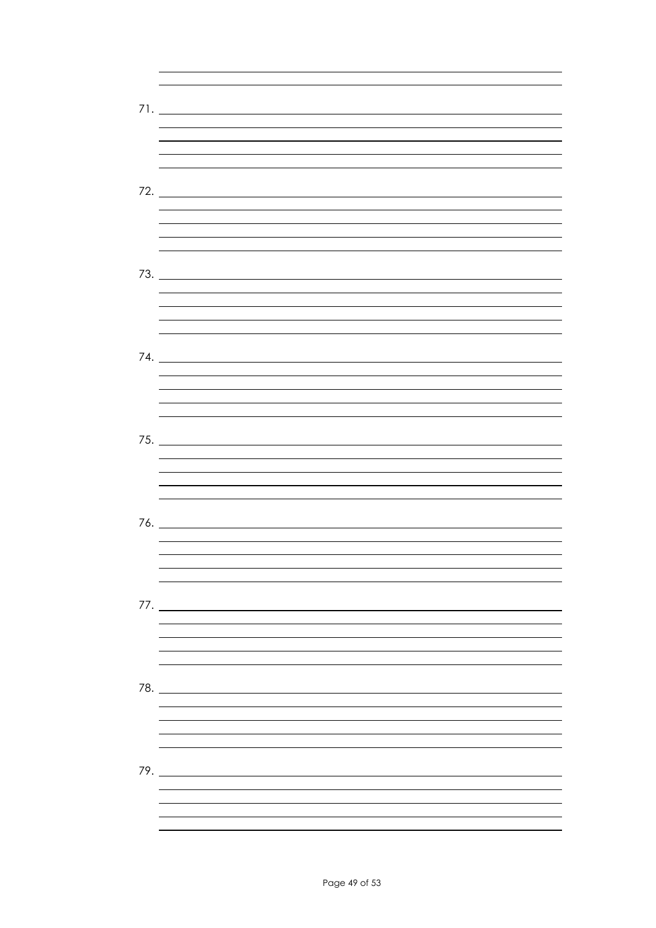71. 72. 73. 74. 75. 76. 77. 78. 79.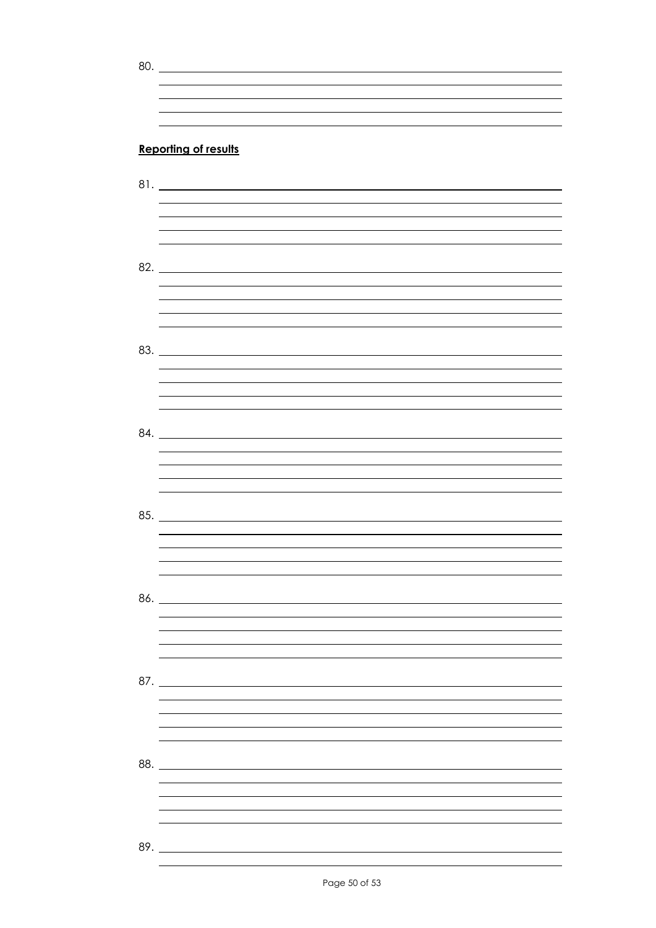80. **Reporting of results** 81. 82. 83. 84. <u> 1980 - Johann Barn, fransk politik (f. 1980)</u> the control of the control of the control of the control of the control of the control of the control of the control of the control of the control of the control of the control of the control of the control of the control 85. 86. 87. 88. 89.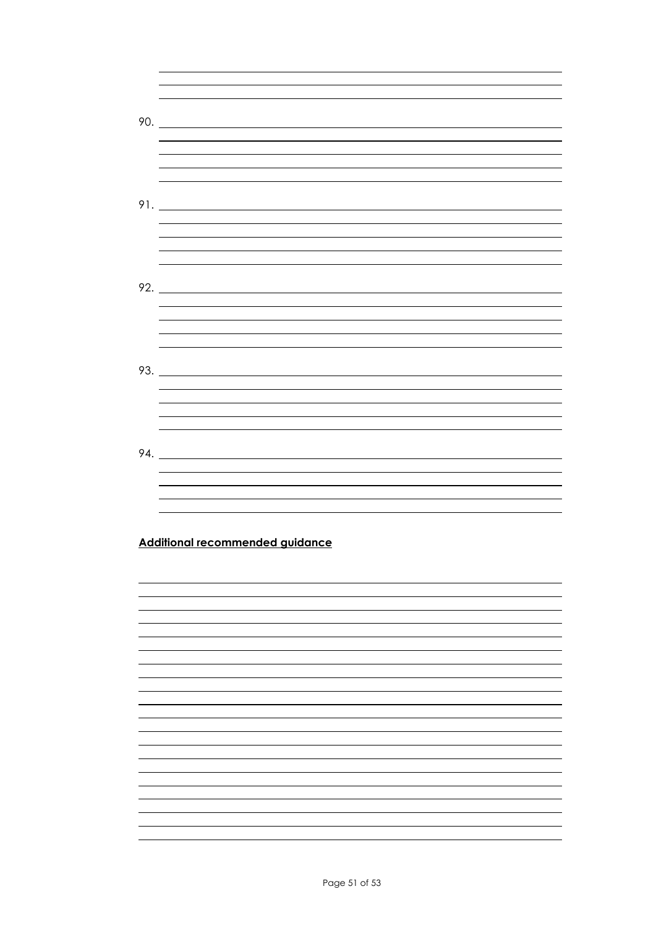

#### **Additional recommended guidance**

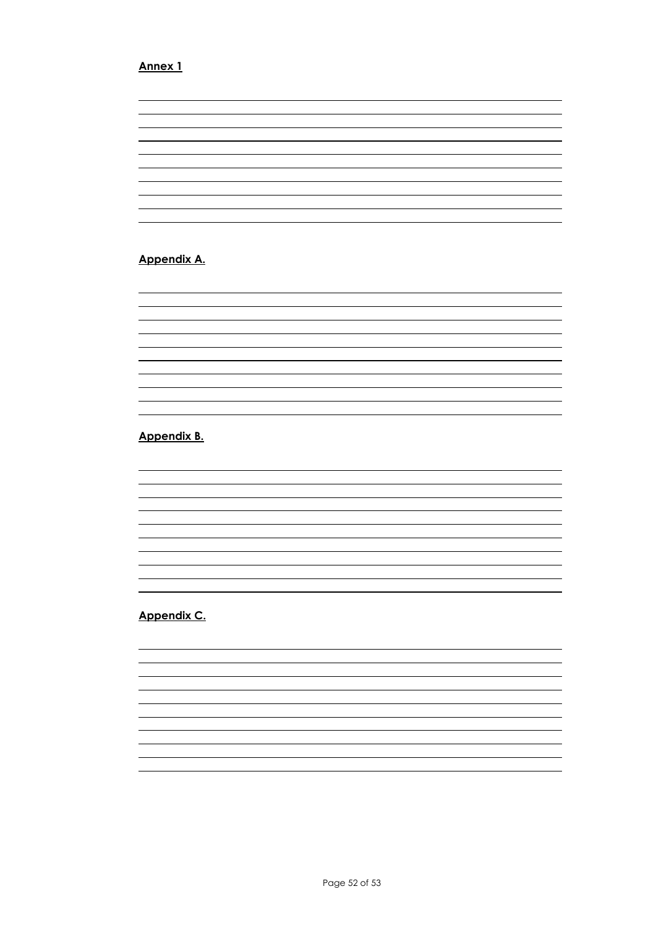#### **Annex 1**

#### **Appendix A.**

#### **Appendix B.**

# **Appendix C.**